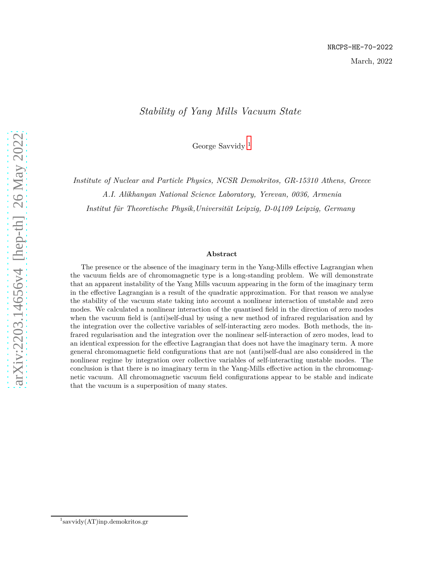#### *Stability of Yang Mills Vacuum State*

George Savvidy [1](#page-0-0)

*Institute of Nuclear and Particle Physics, NCSR Demokritos, GR-15310 Athens, Greece*

*A.I. Alikhanyan National Science Laboratory, Yerevan, 0036, Armenia*

*Institut f¨ur Theoretische Physik,Universit¨at Leipzig, D-04109 Leipzig, Germany*

#### **Abstract**

The presence or the absence of the imaginary term in the Yang-Mills effective Lagrangian when the vacuum fields are of chromomagnetic type is a long-standing problem. We will demonstrate that an apparent instability of the Yang Mills vacuum appearing in the form of the imaginary term in the effective Lagrangian is a result of the quadratic approximation. For that reason we analyse the stability of the vacuum state taking into account a nonlinear interaction of unstable and zero modes. We calculated a nonlinear interaction of the quantised field in the direction of zero modes when the vacuum field is (anti)self-dual by using a new method of infrared regularisation and by the integration over the collective variables of self-interacting zero modes. Both methods, the infrared regularisation and the integration over the nonlinear self-interaction of zero modes, lead to an identical expression for the effective Lagrangian that does not have the imaginary term. A more general chromomagnetic field configurations that are not (anti)self-dual are also considered in the nonlinear regime by integration over collective variables of self-interacting unstable modes. The conclusion is that there is no imaginary term in the Yang-Mills effective action in the chromomagnetic vacuum. All chromomagnetic vacuum field configurations appear to be stable and indicate that the vacuum is a superposition of many states.

<span id="page-0-0"></span><sup>1</sup> savvidy(AT)inp.demokritos.gr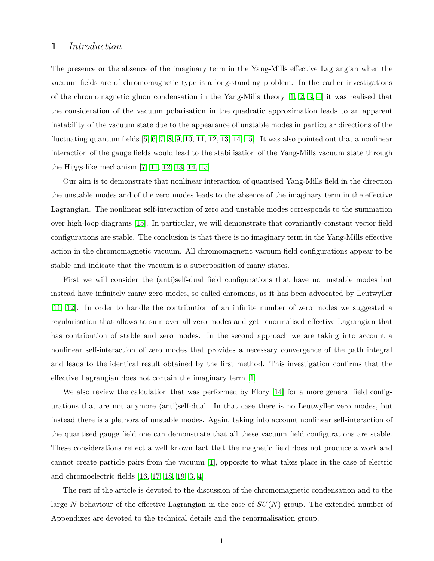#### **1** *Introduction*

The presence or the absence of the imaginary term in the Yang-Mills effective Lagrangian when the vacuum fields are of chromomagnetic type is a long-standing problem. In the earlier investigations of the chromomagnetic gluon condensation in the Yang-Mills theory  $[1, 2, 3, 4]$  $[1, 2, 3, 4]$  $[1, 2, 3, 4]$  $[1, 2, 3, 4]$  it was realised that the consideration of the vacuum polarisation in the quadratic approximation leads to an apparent instability of the vacuum state due to the appearance of unstable modes in particular directions of the fluctuating quantum fields  $[5, 6, 7, 8, 9, 10, 11, 12, 13, 14, 15]$  $[5, 6, 7, 8, 9, 10, 11, 12, 13, 14, 15]$  $[5, 6, 7, 8, 9, 10, 11, 12, 13, 14, 15]$  $[5, 6, 7, 8, 9, 10, 11, 12, 13, 14, 15]$  $[5, 6, 7, 8, 9, 10, 11, 12, 13, 14, 15]$  $[5, 6, 7, 8, 9, 10, 11, 12, 13, 14, 15]$  $[5, 6, 7, 8, 9, 10, 11, 12, 13, 14, 15]$  $[5, 6, 7, 8, 9, 10, 11, 12, 13, 14, 15]$  $[5, 6, 7, 8, 9, 10, 11, 12, 13, 14, 15]$  $[5, 6, 7, 8, 9, 10, 11, 12, 13, 14, 15]$  $[5, 6, 7, 8, 9, 10, 11, 12, 13, 14, 15]$ . It was also pointed out that a nonlinear interaction of the gauge fields would lead to the stabilisation of the Yang-Mills vacuum state through the Higgs-like mechanism [\[7,](#page-25-6) [11,](#page-26-0) [12,](#page-26-1) [13,](#page-26-2) [14,](#page-26-3) [15\]](#page-26-4).

Our aim is to demonstrate that nonlinear interaction of quantised Yang-Mills field in the direction the unstable modes and of the zero modes leads to the absence of the imaginary term in the effective Lagrangian. The nonlinear self-interaction of zero and unstable modes corresponds to the summation over high-loop diagrams [\[15\]](#page-26-4). In particular, we will demonstrate that covariantly-constant vector field configurations are stable. The conclusion is that there is no imaginary term in the Yang-Mills effective action in the chromomagnetic vacuum. All chromomagnetic vacuum field configurations appear to be stable and indicate that the vacuum is a superposition of many states.

First we will consider the (anti)self-dual field configurations that have no unstable modes but instead have infinitely many zero modes, so called chromons, as it has been advocated by Leutwyller [\[11,](#page-26-0) [12\]](#page-26-1). In order to handle the contribution of an infinite number of zero modes we suggested a regularisation that allows to sum over all zero modes and get renormalised effective Lagrangian that has contribution of stable and zero modes. In the second approach we are taking into account a nonlinear self-interaction of zero modes that provides a necessary convergence of the path integral and leads to the identical result obtained by the first method. This investigation confirms that the effective Lagrangian does not contain the imaginary term [\[1\]](#page-25-0).

We also review the calculation that was performed by Flory [\[14\]](#page-26-3) for a more general field configurations that are not anymore (anti)self-dual. In that case there is no Leutwyller zero modes, but instead there is a plethora of unstable modes. Again, taking into account nonlinear self-interaction of the quantised gauge field one can demonstrate that all these vacuum field configurations are stable. These considerations reflect a well known fact that the magnetic field does not produce a work and cannot create particle pairs from the vacuum [\[1\]](#page-25-0), opposite to what takes place in the case of electric and chromoelectric fields [\[16,](#page-26-5) [17,](#page-26-6) [18,](#page-26-7) [19,](#page-26-8) [3,](#page-25-2) [4\]](#page-25-3).

The rest of the article is devoted to the discussion of the chromomagnetic condensation and to the large *N* behaviour of the effective Lagrangian in the case of *SU*(*N*) group. The extended number of Appendixes are devoted to the technical details and the renormalisation group.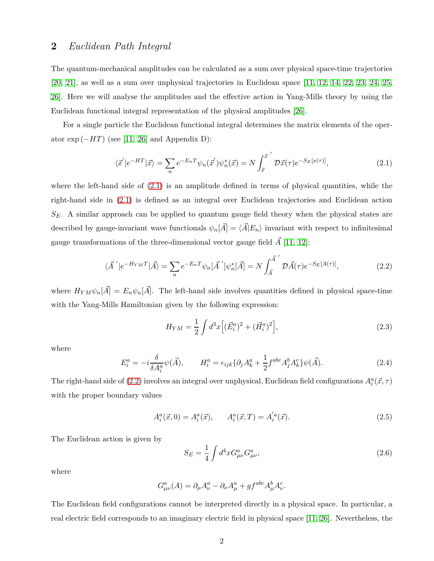#### <span id="page-2-0"></span>**2** *Euclidean Path Integral*

The quantum-mechanical amplitudes can be calculated as a sum over physical space-time trajectories [\[20,](#page-26-9) [21\]](#page-26-10), as well as a sum over unphysical trajectories in Euclidean space [\[11,](#page-26-0) [12,](#page-26-1) [14,](#page-26-3) [22,](#page-26-11) [23,](#page-26-12) [24,](#page-27-0) [25,](#page-27-1) [26\]](#page-27-2). Here we will analyse the amplitudes and the effective action in Yang-Mills theory by using the Euclidean functional integral representation of the physical amplitudes [\[26\]](#page-27-2).

For a single particle the Euclidean functional integral determines the matrix elements of the operator  $\exp(-HT)$  (see [\[11,](#page-26-0) [26\]](#page-27-2) and Appendix D):

$$
\langle \vec{x}' | e^{-HT} | \vec{x} \rangle = \sum_{n} e^{-E_n T} \psi_n(\vec{x}') \psi_n^*(\vec{x}) = N \int_{\vec{x}}^{\vec{x}'} \mathcal{D}\vec{x}(\tau) e^{-S_E[x(\tau)]}, \tag{2.1}
$$

where the left-hand side of  $(2.1)$  is an amplitude defined in terms of physical quantities, while the right-hand side in [\(2.1\)](#page-2-0) is defined as an integral over Euclidean trajectories and Euclidean action *SE*. A similar approach can be applied to quantum gauge field theory when the physical states are described by gauge-invariant wave functionals  $\psi_n[\vec{A}] = \langle \vec{A} | E_n \rangle$  invariant with respect to infinitesimal gauge transformations of the three-dimensional vector gauge field  $\vec{A}$  [\[11,](#page-26-0) [12\]](#page-26-1):

$$
\langle \vec{A}' | e^{-H_{YM}T} | \vec{A} \rangle = \sum_{n} e^{-E_nT} \psi_n[\vec{A}''] \psi_n^*[\vec{A}] = N \int_{\vec{A}}^{\vec{A}'} \mathcal{D}\vec{A}(\tau) e^{-S_E[A(\tau)]}, \tag{2.2}
$$

where  $H_{YM}\psi_n[\vec{A}] = E_n\psi_n[\vec{A}]$ . The left-hand side involves quantities defined in physical space-time with the Yang-Mills Hamiltonian given by the following expression:

$$
H_{YM} = \frac{1}{2} \int d^3x \left[ (\vec{E}_i^a)^2 + (\vec{H}_i^a)^2 \right],\tag{2.3}
$$

where

$$
E_i^a = -i\frac{\delta}{\delta A_i^a} \psi(\vec{A}), \qquad H_i^a = \epsilon_{ijk} \{ \partial_j A_k^a + \frac{1}{2} f^{abc} A_j^b A_k^c \} \psi(\vec{A}). \tag{2.4}
$$

The right-hand side of [\(2.2\)](#page-2-0) involves an integral over unphysical, Euclidean field configurations  $A_i^a(\vec{x}, \tau)$ with the proper boundary values

<span id="page-2-2"></span>
$$
A_i^a(\vec{x},0) = A_i^a(\vec{x}), \qquad A_i^a(\vec{x},T) = A_i^{'a}(\vec{x}). \tag{2.5}
$$

The Euclidean action is given by

<span id="page-2-1"></span>
$$
S_E = \frac{1}{4} \int d^4x G^a_{\mu\nu} G^a_{\mu\nu}, \qquad (2.6)
$$

where

$$
G^a_{\mu\nu}(A) = \partial_\mu A^a_\nu - \partial_\nu A^a_\mu + gf^{abc} A^b_\mu A^c_\nu.
$$

The Euclidean field configurations cannot be interpreted directly in a physical space. In particular, a real electric field corresponds to an imaginary electric field in physical space [\[11,](#page-26-0) [26\]](#page-27-2). Nevertheless, the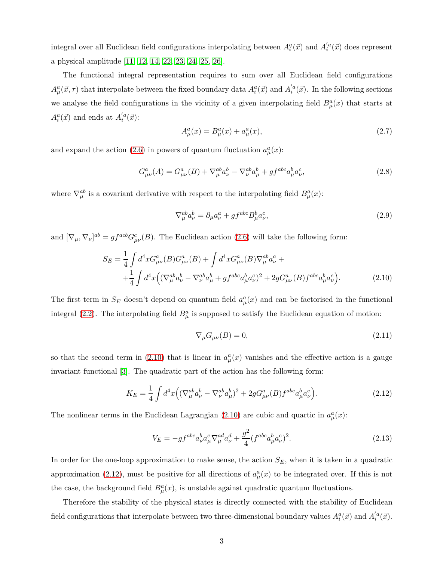integral over all Euclidean field configurations interpolating between  $A_i^a(\vec{x})$  and  $A_i^{'a}(\vec{x})$  does represent a physical amplitude [\[11,](#page-26-0) [12,](#page-26-1) [14,](#page-26-3) [22,](#page-26-11) [23,](#page-26-12) [24,](#page-27-0) [25,](#page-27-1) [26\]](#page-27-2).

The functional integral representation requires to sum over all Euclidean field configurations  $A^a_\mu(\vec{x}, \tau)$  that interpolate between the fixed boundary data  $A^a_i(\vec{x})$  and  $A'_i^a(\vec{x})$ . In the following sections we analyse the field configurations in the vicinity of a given interpolating field  $B^a_\mu(x)$  that starts at  $A_i^a(\vec{x})$  and ends at  $A_i^{'a}(\vec{x})$ :

$$
A_{\mu}^{a}(x) = B_{\mu}^{a}(x) + a_{\mu}^{a}(x),
$$
\n(2.7)

and expand the action [\(2.6\)](#page-2-1) in powers of quantum fluctuation  $a^a_\mu(x)$ :

$$
G^{a}_{\mu\nu}(A) = G^{a}_{\mu\nu}(B) + \nabla^{ab}_{\mu} a^{b}_{\nu} - \nabla^{ab}_{\nu} a^{b}_{\mu} + gf^{abc} a^{b}_{\mu} a^{c}_{\nu},
$$
\n(2.8)

where  $\nabla_{\mu}^{ab}$  is a covariant derivative with respect to the interpolating field  $B_{\mu}^{a}(x)$ :

<span id="page-3-0"></span>
$$
\nabla_{\mu}^{ab} a_{\nu}^{b} = \partial_{\mu} a_{\nu}^{a} + gf^{abc} B_{\mu}^{b} a_{\nu}^{c},
$$
\n(2.9)

and  $[\nabla_{\mu}, \nabla_{\nu}]^{ab} = gf^{acb}G^{c}_{\mu\nu}(B)$ . The Euclidean action [\(2.6\)](#page-2-1) will take the following form:

$$
S_E = \frac{1}{4} \int d^4x G^a_{\mu\nu}(B) G^a_{\mu\nu}(B) + \int d^4x G^a_{\mu\nu}(B) \nabla^{ab}_{\mu} a^a_{\nu} + + \frac{1}{4} \int d^4x \Big( (\nabla^{ab}_{\mu} a^b_{\nu} - \nabla^{ab}_{\nu} a^b_{\mu} + gf^{abc} a^b_{\mu} a^c_{\nu})^2 + 2g G^a_{\mu\nu}(B) f^{abc} a^b_{\mu} a^c_{\nu} \Big). \tag{2.10}
$$

The first term in  $S_E$  doesn't depend on quantum field  $a^a_\mu(x)$  and can be factorised in the functional integral [\(2.2\)](#page-2-0). The interpolating field  $B^a_\mu$  is supposed to satisfy the Euclidean equation of motion:

<span id="page-3-2"></span>
$$
\nabla_{\mu} G_{\mu\nu}(B) = 0,\tag{2.11}
$$

so that the second term in [\(2.10\)](#page-3-0) that is linear in  $a^a_\mu(x)$  vanishes and the effective action is a gauge invariant functional [\[3\]](#page-25-2). The quadratic part of the action has the following form:

<span id="page-3-1"></span>
$$
K_E = \frac{1}{4} \int d^4x \Big( (\nabla^{ab}_{\mu} a^b_{\nu} - \nabla^{ab}_{\nu} a^b_{\mu})^2 + 2g G^a_{\mu\nu}(B) f^{abc} a^b_{\mu} a^c_{\nu} \Big). \tag{2.12}
$$

The nonlinear terms in the Euclidean Lagrangian [\(2.10\)](#page-3-0) are cubic and quartic in  $a^a_\mu(x)$ :

<span id="page-3-3"></span>
$$
V_E = -gf^{abc} a^b_\nu a^c_\mu \nabla^{ad}_\mu a^d_\nu + \frac{g^2}{4} (f^{abc} a^b_\mu a^c_\nu)^2.
$$
 (2.13)

In order for the one-loop approximation to make sense, the action  $S_E$ , when it is taken in a quadratic approximation [\(2.12\)](#page-3-1), must be positive for all directions of  $a^a_\mu(x)$  to be integrated over. If this is not the case, the background field  $B^a_\mu(x)$ , is unstable against quadratic quantum fluctuations.

Therefore the stability of the physical states is directly connected with the stability of Euclidean field configurations that interpolate between two three-dimensional boundary values  $A_i^a(\vec{x})$  and  $A_i^{'a}(\vec{x})$ .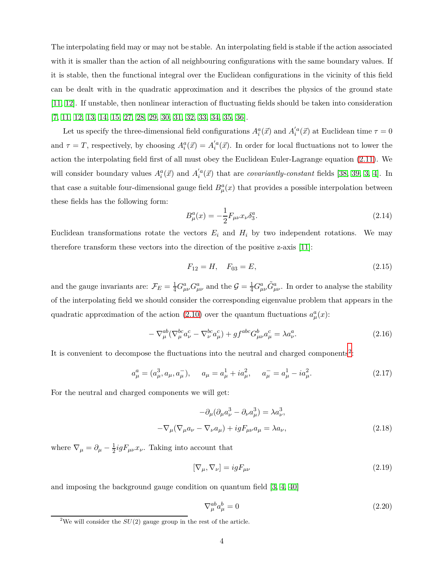The interpolating field may or may not be stable. An interpolating field is stable if the action associated with it is smaller than the action of all neighbouring configurations with the same boundary values. If it is stable, then the functional integral over the Euclidean configurations in the vicinity of this field can be dealt with in the quadratic approximation and it describes the physics of the ground state [\[11,](#page-26-0) [12\]](#page-26-1). If unstable, then nonlinear interaction of fluctuating fields should be taken into consideration [\[7,](#page-25-6) [11,](#page-26-0) [12,](#page-26-1) [13,](#page-26-2) [14,](#page-26-3) [15,](#page-26-4) [27,](#page-27-3) [28,](#page-27-4) [29,](#page-27-5) [30,](#page-27-6) [31,](#page-27-7) [32,](#page-27-8) [33,](#page-27-9) [34,](#page-27-10) [35,](#page-27-11) [36\]](#page-27-12).

Let us specify the three-dimensional field configurations  $A_i^a(\vec{x})$  and  $A_i^{'a}(\vec{x})$  at Euclidean time  $\tau = 0$ and  $\tau = T$ , respectively, by choosing  $A_i^a(\vec{x}) = A_i^{'a}(\vec{x})$ . In order for local fluctuations not to lower the action the interpolating field first of all must obey the Euclidean Euler-Lagrange equation [\(2.11\)](#page-3-2). We will consider boundary values  $A_i^a(\vec{x})$  and  $A_i^{'a}(\vec{x})$  that are *covariantly-constant* fields [\[38,](#page-28-0) [39,](#page-28-1) [3,](#page-25-2) [4\]](#page-25-3). In that case a suitable four-dimensional gauge field  $B^a_\mu(x)$  that provides a possible interpolation between these fields has the following form:

<span id="page-4-1"></span>
$$
B_{\mu}^{a}(x) = -\frac{1}{2}F_{\mu\nu}x_{\nu}\delta_{3}^{a}.
$$
\n(2.14)

Euclidean transformations rotate the vectors  $E_i$  and  $H_i$  by two independent rotations. We may therefore transform these vectors into the direction of the positive z-axis [\[11\]](#page-26-0):

<span id="page-4-3"></span>
$$
F_{12} = H, \quad F_{03} = E,\tag{2.15}
$$

and the gauge invariants are:  $\mathcal{F}_E = \frac{1}{4} G^a_{\mu\nu} G^a_{\mu\nu}$  and the  $\mathcal{G} = \frac{1}{4} G^a_{\mu\nu} \tilde{G}^a_{\mu\nu}$ . In order to analyse the stability of the interpolating field we should consider the corresponding eigenvalue problem that appears in the quadratic approximation of the action [\(2.10\)](#page-3-0) over the quantum fluctuations  $a^a_\mu(x)$ :

$$
-\nabla_{\mu}^{ab} \left(\nabla_{\mu}^{bc} a_{\nu}^c - \nabla_{\nu}^{bc} a_{\mu}^c\right) + gf^{abc} G_{\mu\nu}^b a_{\mu}^c = \lambda a_{\nu}^a.
$$
\n(2.16)

It is convenient to decompose the fluctuations into the neutral and charged components<sup>[2](#page-4-0)</sup>:

<span id="page-4-2"></span>
$$
a_{\mu}^{a} = (a_{\mu}^{3}, a_{\mu}, a_{\mu}^{-}), \quad a_{\mu} = a_{\mu}^{1} + i a_{\mu}^{2}, \quad a_{\mu}^{-} = a_{\mu}^{1} - i a_{\mu}^{2}.
$$
 (2.17)

For the neutral and charged components we will get:

$$
-\partial_{\mu}(\partial_{\mu}a_{\nu}^{3} - \partial_{\nu}a_{\mu}^{3}) = \lambda a_{\nu}^{3},
$$
  

$$
-\nabla_{\mu}(\nabla_{\mu}a_{\nu} - \nabla_{\nu}a_{\mu}) + igF_{\mu\nu}a_{\mu} = \lambda a_{\nu},
$$
 (2.18)

where  $\nabla_{\mu} = \partial_{\mu} - \frac{1}{2} i g F_{\mu\nu} x_{\nu}$ . Taking into account that

$$
[\nabla_{\mu}, \nabla_{\nu}] = igF_{\mu\nu} \tag{2.19}
$$

and imposing the background gauge condition on quantum field [\[3,](#page-25-2) [4,](#page-25-3) [40\]](#page-28-2)

$$
\nabla_{\mu}^{ab} a_{\mu}^{b} = 0 \tag{2.20}
$$

<span id="page-4-0"></span><sup>&</sup>lt;sup>2</sup>We will consider the  $SU(2)$  gauge group in the rest of the article.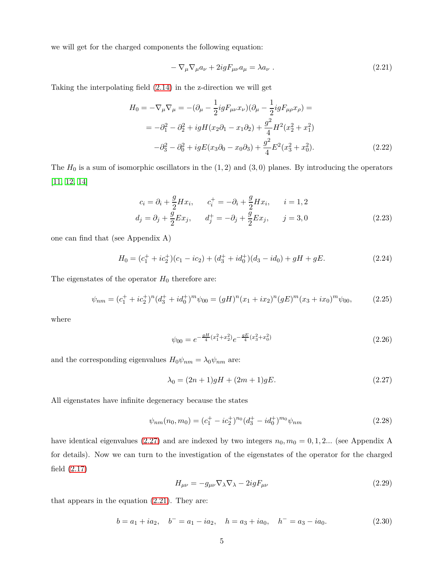we will get for the charged components the following equation:

<span id="page-5-1"></span>
$$
-\nabla_{\mu}\nabla_{\mu}a_{\nu} + 2igF_{\mu\nu}a_{\mu} = \lambda a_{\nu} . \qquad (2.21)
$$

Taking the interpolating field [\(2.14\)](#page-4-1) in the z-direction we will get

$$
H_0 = -\nabla_\mu \nabla_\mu = -(\partial_\mu - \frac{1}{2} ig F_{\mu\nu} x_\nu)(\partial_\mu - \frac{1}{2} ig F_{\mu\rho} x_\rho) =
$$
  
=  $-\partial_1^2 - \partial_2^2 + ig H(x_2 \partial_1 - x_1 \partial_2) + \frac{g^2}{4} H^2(x_2^2 + x_1^2)$   
 $-\partial_3^2 - \partial_0^2 + ig E(x_3 \partial_0 - x_0 \partial_3) + \frac{g^2}{4} E^2(x_3^2 + x_0^2).$  (2.22)

The  $H_0$  is a sum of isomorphic oscillators in the  $(1, 2)$  and  $(3, 0)$  planes. By introducing the operators [\[11,](#page-26-0) [12,](#page-26-1) [14\]](#page-26-3)

$$
c_i = \partial_i + \frac{g}{2} H x_i, \qquad c_i^+ = -\partial_i + \frac{g}{2} H x_i, \qquad i = 1, 2
$$
  

$$
d_j = \partial_j + \frac{g}{2} E x_j, \qquad d_j^+ = -\partial_j + \frac{g}{2} E x_j, \qquad j = 3, 0
$$
 (2.23)

one can find that (see Appendix A)

$$
H_0 = (c_1^+ + ic_2^+)(c_1 - ic_2) + (d_3^+ + id_0^+)(d_3 - id_0) + gH + gE.
$$
\n(2.24)

The eigenstates of the operator  $H_0$  therefore are:

<span id="page-5-3"></span>
$$
\psi_{nm} = (c_1^+ + ic_2^+)^n (d_3^+ + id_0^+)^m \psi_{00} = (gH)^n (x_1 + ix_2)^n (gE)^m (x_3 + ix_0)^m \psi_{00}, \tag{2.25}
$$

where

$$
\psi_{00} = e^{-\frac{gH}{4}(x_1^2 + x_2^2)} e^{-\frac{gE}{4}(x_3^2 + x_0^2)} \tag{2.26}
$$

and the corresponding eigenvalues  $H_0\psi_{nm} = \lambda_0\psi_{nm}$  are:

<span id="page-5-0"></span>
$$
\lambda_0 = (2n+1)gH + (2m+1)gE.
$$
\n(2.27)

All eigenstates have infinite degeneracy because the states

$$
\psi_{nm}(n_0, m_0) = (c_1^+ - ic_2^+)^{n_0} (d_3^+ - id_0^+)^{m_0} \psi_{nm}
$$
\n(2.28)

have identical eigenvalues [\(2.27\)](#page-5-0) and are indexed by two integers  $n_0, m_0 = 0, 1, 2...$  (see Appendix A for details). Now we can turn to the investigation of the eigenstates of the operator for the charged field [\(2.17\)](#page-4-2)

$$
H_{\mu\nu} = -g_{\mu\nu}\nabla_{\lambda}\nabla_{\lambda} - 2igF_{\mu\nu}
$$
\n(2.29)

that appears in the equation [\(2.21\)](#page-5-1). They are:

<span id="page-5-2"></span>
$$
b = a_1 + ia_2
$$
,  $b^- = a_1 - ia_2$ ,  $h = a_3 + ia_0$ ,  $h^- = a_3 - ia_0$ . (2.30)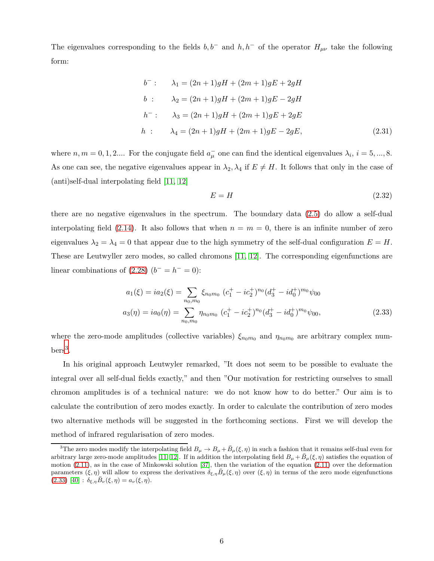The eigenvalues corresponding to the fields  $b, b^-$  and  $h, h^-$  of the operator  $H_{\mu\nu}$  take the following form:

$$
b^{-}: \qquad \lambda_1 = (2n+1)gH + (2m+1)gE + 2gH
$$
  
\n
$$
b: \qquad \lambda_2 = (2n+1)gH + (2m+1)gE - 2gH
$$
  
\n
$$
h^{-}: \qquad \lambda_3 = (2n+1)gH + (2m+1)gE + 2gE
$$
  
\n
$$
h: \qquad \lambda_4 = (2n+1)gH + (2m+1)gE - 2gE,
$$
\n(2.31)

where  $n, m = 0, 1, 2...$  For the conjugate field  $a_{\mu}^-$  one can find the identical eigenvalues  $\lambda_i$ ,  $i = 5, ..., 8$ . As one can see, the negative eigenvalues appear in  $\lambda_2, \lambda_4$  if  $E \neq H$ . It follows that only in the case of (anti)self-dual interpolating field [\[11,](#page-26-0) [12\]](#page-26-1)

<span id="page-6-1"></span>
$$
E = H \tag{2.32}
$$

there are no negative eigenvalues in the spectrum. The boundary data [\(2.5\)](#page-2-2) do allow a self-dual interpolating field  $(2.14)$ . It also follows that when  $n = m = 0$ , there is an infinite number of zero eigenvalues  $\lambda_2 = \lambda_4 = 0$  that appear due to the high symmetry of the self-dual configuration  $E = H$ . These are Leutwyller zero modes, so called chromons [\[11,](#page-26-0) [12\]](#page-26-1). The corresponding eigenfunctions are linear combinations of  $(2.28)$   $(b^- = h^- = 0)$ :

$$
a_1(\xi) = ia_2(\xi) = \sum_{n_0, m_0} \xi_{n_0 m_0} (c_1^+ - ic_2^+)^{n_0} (d_3^+ - id_0^+)^{m_0} \psi_{00}
$$
  

$$
a_3(\eta) = ia_0(\eta) = \sum_{n_0, m_0} \eta_{n_0 m_0} (c_1^+ - ic_2^+)^{n_0} (d_3^+ - id_0^+)^{m_0} \psi_{00},
$$
 (2.33)

where the zero-mode amplitudes (collective variables)  $\xi_{n_0m_0}$  and  $\eta_{n_0m_0}$  are arbitrary complex num- $\mathrm{bers}^3$  $\mathrm{bers}^3$ .

In his original approach Leutwyler remarked, "It does not seem to be possible to evaluate the integral over all self-dual fields exactly," and then "Our motivation for restricting ourselves to small chromon amplitudes is of a technical nature: we do not know how to do better." Our aim is to calculate the contribution of zero modes exactly. In order to calculate the contribution of zero modes two alternative methods will be suggested in the forthcoming sections. First we will develop the method of infrared regularisation of zero modes.

<span id="page-6-0"></span><sup>&</sup>lt;sup>3</sup>The zero modes modify the interpolating field  $B_\mu \to B_\mu + \bar{B}_\mu(\xi, \eta)$  in such a fashion that it remains self-dual even for arbitrary large zero-mode amplitudes [\[11,](#page-26-0) [12\]](#page-26-1). If in addition the interpolating field  $B_\mu + \bar{B}_\mu(\xi, \eta)$  satisfies the equation of motion [\(2.11\)](#page-3-2), as in the case of Minkowski solution [\[37\]](#page-27-13), then the variation of the equation [\(2.11\)](#page-3-2) over the deformation parameters  $(\xi, \eta)$  will allow to express the derivatives  $\delta_{\xi, \eta} B_\mu(\xi, \eta)$  over  $(\xi, \eta)$  in terms of the zero mode eigenfunctions  $(2.33)$   $[40]$  :  $\delta_{\xi,\eta}B_{\nu}(\xi,\eta) = a_{\nu}(\xi,\eta).$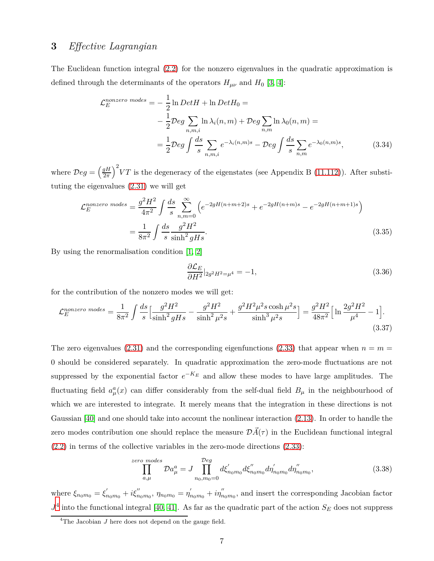#### <span id="page-7-1"></span>**3** *Effective Lagrangian*

The Euclidean function integral [\(2.2\)](#page-2-0) for the nonzero eigenvalues in the quadratic approximation is defined through the determinants of the operators  $H_{\mu\nu}$  and  $H_0$  [\[3,](#page-25-2) [4\]](#page-25-3):

$$
\mathcal{L}_E^{nonzero \ modes} = -\frac{1}{2} \ln Det H + \ln Det H_0 =
$$
  

$$
-\frac{1}{2} \mathcal{D}eg \sum_{n,m,i} \ln \lambda_i(n,m) + \mathcal{D}eg \sum_{n,m} \ln \lambda_0(n,m) =
$$
  

$$
=\frac{1}{2} \mathcal{D}eg \int \frac{ds}{s} \sum_{n,m,i} e^{-\lambda_i(n,m)s} - \mathcal{D}eg \int \frac{ds}{s} \sum_{n,m} e^{-\lambda_0(n,m)s}, \qquad (3.34)
$$

where  $\mathcal{D}eg = \left(\frac{gH}{2\pi}\right)$  $\left(\frac{qH}{2\pi}\right)^2 V T$  is the degeneracy of the eigenstates (see Appendix B [\(11.112\)](#page-21-0)). After substituting the eigenvalues [\(2.31\)](#page-5-2) we will get

$$
\mathcal{L}_E^{nonzero \ modes} = \frac{g^2 H^2}{4\pi^2} \int \frac{ds}{s} \sum_{n,m=0}^{\infty} \left( e^{-2gH(n+m+2)s} + e^{-2gH(n+m)s} - e^{-2gH(n+m+1)s} \right)
$$

$$
= \frac{1}{8\pi^2} \int \frac{ds}{s} \frac{g^2 H^2}{\sinh^2 gHs}.
$$
(3.35)

By using the renormalisation condition [\[1,](#page-25-0) [2\]](#page-25-1)

<span id="page-7-2"></span>
$$
\frac{\partial \mathcal{L}_E}{\partial H^2}|_{2g^2 H^2 = \mu^4} = -1,\tag{3.36}
$$

for the contribution of the nonzero modes we will get:

$$
\mathcal{L}_{E}^{nonzero\ modes} = \frac{1}{8\pi^2} \int \frac{ds}{s} \Big[ \frac{g^2 H^2}{\sinh^2 g H s} - \frac{g^2 H^2}{\sinh^2 \mu^2 s} + \frac{g^2 H^2 \mu^2 s \cosh \mu^2 s}{\sinh^3 \mu^2 s} \Big] = \frac{g^2 H^2}{48\pi^2} \Big[ \ln \frac{2g^2 H^2}{\mu^4} - 1 \Big].
$$
\n(3.37)

The zero eigenvalues [\(2.31\)](#page-5-2) and the corresponding eigenfunctions [\(2.33\)](#page-6-1) that appear when  $n = m =$ 0 should be considered separately. In quadratic approximation the zero-mode fluctuations are not suppressed by the exponential factor  $e^{-K_E}$  and allow these modes to have large amplitudes. The fluctuating field  $a^a_\mu(x)$  can differ considerably from the self-dual field  $B_\mu$  in the neighbourhood of which we are interested to integrate. It merely means that the integration in these directions is not Gaussian [\[40\]](#page-28-2) and one should take into account the nonlinear interaction [\(2.13\)](#page-3-3). In order to handle the zero modes contribution one should replace the measure  $\mathcal{D}\vec{A}(\tau)$  in the Euclidean functional integral [\(2.2\)](#page-2-0) in terms of the collective variables in the zero-mode directions [\(2.33\)](#page-6-1):

$$
\prod_{a,\mu}^{zero~modes} Da_{\mu}^{a} = J \prod_{n_0,m_0=0}^{Deg} d\xi'_{n_0m_0} d\xi''_{n_0m_0} d\eta'_{n_0m_0} d\eta''_{n_0m_0},
$$
\n(3.38)

where  $\xi_{n_0m_0} = \xi'_{n_0m_0} + i\xi''_{n_0m_0}$ ,  $\eta_{n_0m_0} = \eta'_{n_0m_0} + i\eta''_{n_0m_0}$ , and insert the corresponding Jacobian factor  $J<sup>4</sup>$  $J<sup>4</sup>$  $J<sup>4</sup>$  into the functional integral [\[40,](#page-28-2) [41\]](#page-28-3). As far as the quadratic part of the action  $S_E$  does not suppress

<span id="page-7-0"></span><sup>&</sup>lt;sup>4</sup>The Jacobian *J* here does not depend on the gauge field.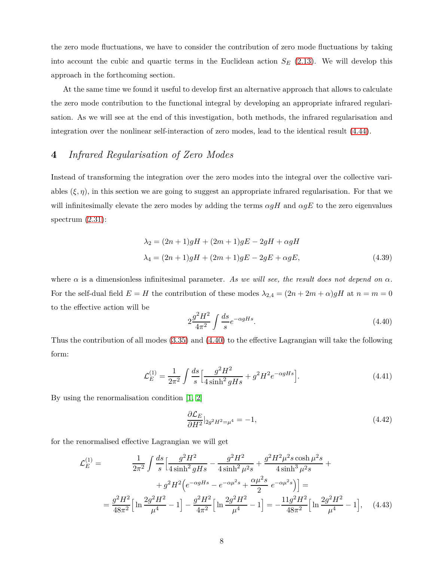the zero mode fluctuations, we have to consider the contribution of zero mode fluctuations by taking into account the cubic and quartic terms in the Euclidean action *S<sup>E</sup>* [\(2.13\)](#page-3-3). We will develop this approach in the forthcoming section.

At the same time we found it useful to develop first an alternative approach that allows to calculate the zero mode contribution to the functional integral by developing an appropriate infrared regularisation. As we will see at the end of this investigation, both methods, the infrared regularisation and integration over the nonlinear self-interaction of zero modes, lead to the identical result [\(4.44\)](#page-8-0).

## <span id="page-8-2"></span>**4** *Infrared Regularisation of Zero Modes*

Instead of transforming the integration over the zero modes into the integral over the collective variables  $(\xi, \eta)$ , in this section we are going to suggest an appropriate infrared regularisation. For that we will infinitesimally elevate the zero modes by adding the terms *αgH* and *αgE* to the zero eigenvalues spectrum  $(2.31)$ :

$$
\lambda_2 = (2n+1)gH + (2m+1)gE - 2gH + \alpha gH
$$
  

$$
\lambda_4 = (2n+1)gH + (2m+1)gE - 2gE + \alpha gE,
$$
 (4.39)

where  $\alpha$  is a dimensionless infinitesimal parameter. As we will see, the result does not depend on  $\alpha$ . For the self-dual field  $E = H$  the contribution of these modes  $\lambda_{2,4} = (2n + 2m + \alpha)gH$  at  $n = m = 0$ to the effective action will be

<span id="page-8-1"></span>
$$
2\frac{g^2H^2}{4\pi^2} \int \frac{ds}{s} e^{-\alpha gHs}.\tag{4.40}
$$

Thus the contribution of all modes [\(3.35\)](#page-7-1) and [\(4.40\)](#page-8-1) to the effective Lagrangian will take the following form:

$$
\mathcal{L}_E^{(1)} = \frac{1}{2\pi^2} \int \frac{ds}{s} \left[ \frac{g^2 H^2}{4\sinh^2 g H s} + g^2 H^2 e^{-\alpha g H s} \right].
$$
\n(4.41)

By using the renormalisation condition [\[1,](#page-25-0) [2\]](#page-25-1)

<span id="page-8-0"></span>
$$
\frac{\partial \mathcal{L}_E}{\partial H^2}|_{2g^2 H^2 = \mu^4} = -1,\tag{4.42}
$$

for the renormalised effective Lagrangian we will get

$$
\mathcal{L}_E^{(1)} = \frac{1}{2\pi^2} \int \frac{ds}{s} \left[ \frac{g^2 H^2}{4 \sinh^2 g H s} - \frac{g^2 H^2}{4 \sinh^2 \mu^2 s} + \frac{g^2 H^2 \mu^2 s \cosh \mu^2 s}{4 \sinh^3 \mu^2 s} + \right. \\
\left. + g^2 H^2 \left( e^{-\alpha g H s} - e^{-\alpha \mu^2 s} + \frac{\alpha \mu^2 s}{2} e^{-\alpha \mu^2 s} \right) \right] = \\
= \frac{g^2 H^2}{48\pi^2} \left[ \ln \frac{2g^2 H^2}{\mu^4} - 1 \right] - \frac{g^2 H^2}{4\pi^2} \left[ \ln \frac{2g^2 H^2}{\mu^4} - 1 \right] = -\frac{11g^2 H^2}{48\pi^2} \left[ \ln \frac{2g^2 H^2}{\mu^4} - 1 \right], \quad (4.43)
$$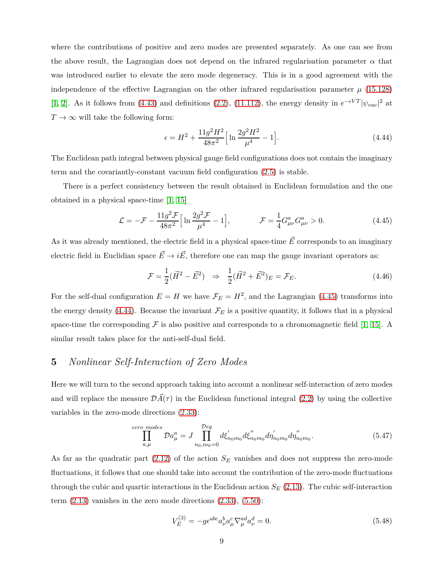where the contributions of positive and zero modes are presented separately. As one can see from the above result, the Lagrangian does not depend on the infrared regularisation parameter  $\alpha$  that was introduced earlier to elevate the zero mode degeneracy. This is in a good agreement with the independence of the effective Lagrangian on the other infrared regularisation parameter  $\mu$  [\(15.128\)](#page-24-0) [\[1,](#page-25-0) [2\]](#page-25-1). As it follows from [\(4.43\)](#page-8-0) and definitions [\(2.2\)](#page-2-0), [\(11.112\)](#page-21-0), the energy density in  $e^{-\epsilon VT} |\psi_{vac}|^2$  at  $T \rightarrow \infty$  will take the following form:

$$
\epsilon = H^2 + \frac{11g^2H^2}{48\pi^2} \Big[ \ln \frac{2g^2H^2}{\mu^4} - 1 \Big]. \tag{4.44}
$$

The Euclidean path integral between physical gauge field configurations does not contain the imaginary term and the covariantly-constant vacuum field configuration [\(2.5\)](#page-2-2) is stable.

There is a perfect consistency between the result obtained in Euclidean formulation and the one obtained in a physical space-time [\[1,](#page-25-0) [15\]](#page-26-4)

<span id="page-9-0"></span>
$$
\mathcal{L} = -\mathcal{F} - \frac{11g^2 \mathcal{F}}{48\pi^2} \Big[ \ln \frac{2g^2 \mathcal{F}}{\mu^4} - 1 \Big], \qquad \mathcal{F} = \frac{1}{4} G^a_{\mu\nu} G^a_{\mu\nu} > 0. \tag{4.45}
$$

As it was already mentioned, the electric field in a physical space-time  $\vec{E}$  corresponds to an imaginary electric field in Euclidian space  $\vec{E} \rightarrow i\vec{E}$ , therefore one can map the gauge invariant operators as:

$$
\mathcal{F} = \frac{1}{2}(\vec{H}^2 - \vec{E}^2) \Rightarrow \frac{1}{2}(\vec{H}^2 + \vec{E}^2)_{E} = \mathcal{F}_{E}. \tag{4.46}
$$

For the self-dual configuration  $E = H$  we have  $\mathcal{F}_E = H^2$ , and the Lagrangian [\(4.45\)](#page-9-0) transforms into the energy density [\(4.44\)](#page-8-0). Because the invariant  $\mathcal{F}_E$  is a positive quantity, it follows that in a physical space-time the corresponding  $\mathcal F$  is also positive and corresponds to a chromomagnetic field [\[1,](#page-25-0) [15\]](#page-26-4). A similar result takes place for the anti-self-dual field.

## <span id="page-9-2"></span>**5** *Nonlinear Self-Interaction of Zero Modes*

Here we will turn to the second approach taking into account a nonlinear self-interaction of zero modes and will replace the measure  $\mathcal{D}\vec{A}(\tau)$  in the Euclidean functional integral [\(2.2\)](#page-2-0) by using the collective variables in the zero-mode directions [\(2.33\)](#page-6-1):

$$
\prod_{a,\mu}^{zero~modes} Da_{\mu}^{a} = J \prod_{n_0, m_0 = 0}^{Deg} d\xi'_{n_0 m_0} d\xi''_{n_0 m_0} d\eta'_{n_0 m_0} d\eta''_{n_0 m_0}.
$$
\n(5.47)

As far as the quadratic part [\(2.12\)](#page-3-1) of the action *S<sup>E</sup>* vanishes and does not suppress the zero-mode fluctuations, it follows that one should take into account the contribution of the zero-mode fluctuations through the cubic and quartic interactions in the Euclidean action  $S_E$  [\(2.13\)](#page-3-3). The cubic self-interaction term  $(2.13)$  vanishes in the zero mode directions  $(2.33)$ ,  $(5.50)$ :

<span id="page-9-1"></span>
$$
V_E^{(3)} = -g\epsilon^{abc}a^b_\nu a^c_\mu \nabla^{ad}_\mu a^d_\nu = 0.
$$
\n(5.48)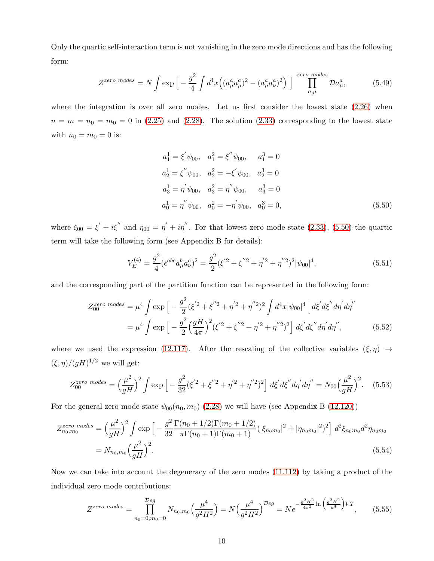Only the quartic self-interaction term is not vanishing in the zero mode directions and has the following form:

$$
Z^{zero\ modes} = N \int \exp\left[-\frac{g^2}{4} \int d^4x \left((a^a_\mu a^a_\mu)^2 - (a^a_\mu a^a_\nu)^2\right)\right] \prod_{a,\mu}^{zero\ modes} \mathcal{D}a^a_\mu,\tag{5.49}
$$

where the integration is over all zero modes. Let us first consider the lowest state  $(2.26)$  when  $n = m = n_0 = m_0 = 0$  in [\(2.25\)](#page-5-3) and [\(2.28\)](#page-5-0). The solution [\(2.33\)](#page-6-1) corresponding to the lowest state with  $n_0 = m_0 = 0$  is:

$$
a_1^1 = \xi' \psi_{00}, \quad a_1^2 = \xi'' \psi_{00}, \quad a_1^3 = 0
$$
  
\n
$$
a_2^1 = \xi'' \psi_{00}, \quad a_2^2 = -\xi' \psi_{00}, \quad a_2^3 = 0
$$
  
\n
$$
a_3^1 = \eta' \psi_{00}, \quad a_3^2 = \eta'' \psi_{00}, \quad a_3^3 = 0
$$
  
\n
$$
a_0^1 = \eta'' \psi_{00}, \quad a_0^2 = -\eta' \psi_{00}, \quad a_0^3 = 0,
$$
\n(5.50)

where  $\xi_{00} = \xi' + i\xi''$  and  $\eta_{00} = \eta' + i\eta''$ . For that lowest zero mode state [\(2.33\)](#page-6-1), [\(5.50\)](#page-9-1) the quartic term will take the following form (see Appendix B for details):

<span id="page-10-0"></span>
$$
V_E^{(4)} = \frac{g^2}{4} (\epsilon^{abc} a^b_\mu a^c_\nu)^2 = \frac{g^2}{2} (\xi^{'2} + \xi^{''2} + \eta^{'2} + \eta^{''2})^2 |\psi_{00}|^4,\tag{5.51}
$$

and the corresponding part of the partition function can be represented in the following form:

$$
Z_{00}^{zero \ modes} = \mu^4 \int \exp\left[-\frac{g^2}{2}(\xi'^2 + \xi''^2 + \eta'^2 + \eta''^2)^2 \int d^4x |\psi_{00}|^4 \right] d\xi' d\xi'' d\eta' d\eta''
$$

$$
= \mu^4 \int \exp\left[-\frac{g^2}{2}\left(\frac{gH}{4\pi}\right)^2 (\xi'^2 + \xi''^2 + \eta'^2 + \eta''^2)^2\right] d\xi' d\xi'' d\eta' d\eta'', \tag{5.52}
$$

where we used the expression [\(12.117\)](#page-21-1). After the rescaling of the collective variables  $(\xi, \eta) \rightarrow$  $(\xi, \eta) / (gH)^{1/2}$  we will get:

$$
Z_{00}^{zero \ modes} = \left(\frac{\mu^2}{gH}\right)^2 \int \exp\left[-\frac{g^2}{32}(\xi'^2 + \xi''^2 + \eta'^2 + \eta''^2)^2\right] d\xi' d\xi'' d\eta' d\eta'' = N_{00} \left(\frac{\mu^2}{gH}\right)^2. \tag{5.53}
$$

For the general zero mode state  $\psi_{00}(n_0, m_0)$  [\(2.28\)](#page-5-0) we will have (see Appendix B [\(12.120\)](#page-22-0))

$$
Z_{n_0,m_0}^{zero~modes} = \left(\frac{\mu^2}{gH}\right)^2 \int \exp\left[-\frac{g^2}{32} \frac{\Gamma(n_0 + 1/2)\Gamma(m_0 + 1/2)}{\pi \Gamma(n_0 + 1)\Gamma(m_0 + 1)} (|\xi_{n_0m_0}|^2 + |\eta_{n_0m_0}|^2)^2\right] d^2 \xi_{n_0m_0} d^2 \eta_{n_0m_0}
$$
  
=  $N_{n_0,m_0} \left(\frac{\mu^2}{gH}\right)^2$ . (5.54)

Now we can take into account the degeneracy of the zero modes [\(11.112\)](#page-21-0) by taking a product of the individual zero mode contributions:

$$
Z^{zero \ modes} = \prod_{n_0=0, m_0=0}^{\mathcal{D}eg} N_{n_0, m_0} \left(\frac{\mu^4}{g^2 H^2}\right) = N \left(\frac{\mu^4}{g^2 H^2}\right)^{\mathcal{D}eg} = N e^{-\frac{g^2 H^2}{4\pi^2} \ln\left(\frac{g^2 H^2}{\mu^4}\right) VT}, \tag{5.55}
$$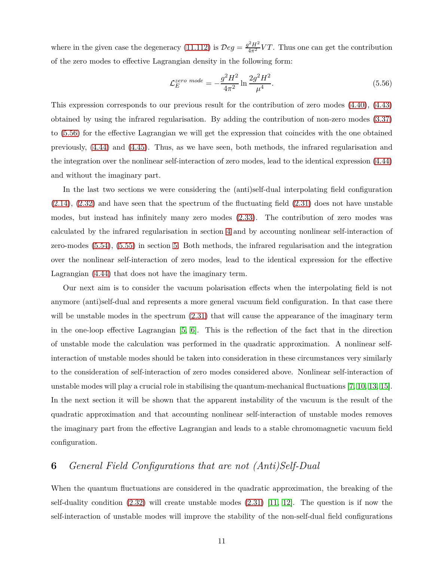where in the given case the degeneracy [\(11.112\)](#page-21-0) is  $\mathcal{D}eg = \frac{g^2H^2}{4\pi^2}VT$ . Thus one can get the contribution of the zero modes to effective Lagrangian density in the following form:

<span id="page-11-0"></span>
$$
\mathcal{L}_E^{zero \ mode} = -\frac{g^2 H^2}{4\pi^2} \ln \frac{2g^2 H^2}{\mu^4}.
$$
\n(5.56)

This expression corresponds to our previous result for the contribution of zero modes [\(4.40\)](#page-8-1), [\(4.43\)](#page-8-0) obtained by using the infrared regularisation. By adding the contribution of non-zero modes [\(3.37\)](#page-7-2) to [\(5.56\)](#page-11-0) for the effective Lagrangian we will get the expression that coincides with the one obtained previously, [\(4.44\)](#page-8-0) and [\(4.45\)](#page-9-0). Thus, as we have seen, both methods, the infrared regularisation and the integration over the nonlinear self-interaction of zero modes, lead to the identical expression [\(4.44\)](#page-8-0) and without the imaginary part.

In the last two sections we were considering the (anti)self-dual interpolating field configuration  $(2.14)$ ,  $(2.32)$  and have seen that the spectrum of the fluctuating field  $(2.31)$  does not have unstable modes, but instead has infinitely many zero modes [\(2.33\)](#page-6-1). The contribution of zero modes was calculated by the infrared regularisation in section [4](#page-8-2) and by accounting nonlinear self-interaction of zero-modes [\(5.54\)](#page-10-0), [\(5.55\)](#page-10-0) in section [5.](#page-9-2) Both methods, the infrared regularisation and the integration over the nonlinear self-interaction of zero modes, lead to the identical expression for the effective Lagrangian [\(4.44\)](#page-8-0) that does not have the imaginary term.

Our next aim is to consider the vacuum polarisation effects when the interpolating field is not anymore (anti)self-dual and represents a more general vacuum field configuration. In that case there will be unstable modes in the spectrum  $(2.31)$  that will cause the appearance of the imaginary term in the one-loop effective Lagrangian [\[5,](#page-25-4) [6\]](#page-25-5). This is the reflection of the fact that in the direction of unstable mode the calculation was performed in the quadratic approximation. A nonlinear selfinteraction of unstable modes should be taken into consideration in these circumstances very similarly to the consideration of self-interaction of zero modes considered above. Nonlinear self-interaction of unstable modes will play a crucial role in stabilising the quantum-mechanical fluctuations [\[7,](#page-25-6) [10,](#page-25-9) [13,](#page-26-2) [15\]](#page-26-4). In the next section it will be shown that the apparent instability of the vacuum is the result of the quadratic approximation and that accounting nonlinear self-interaction of unstable modes removes the imaginary part from the effective Lagrangian and leads to a stable chromomagnetic vacuum field configuration.

# **6** *General Field Configurations that are not (Anti)Self-Dual*

When the quantum fluctuations are considered in the quadratic approximation, the breaking of the self-duality condition  $(2.32)$  will create unstable modes  $(2.31)$  [\[11,](#page-26-0) [12\]](#page-26-1). The question is if now the self-interaction of unstable modes will improve the stability of the non-self-dual field configurations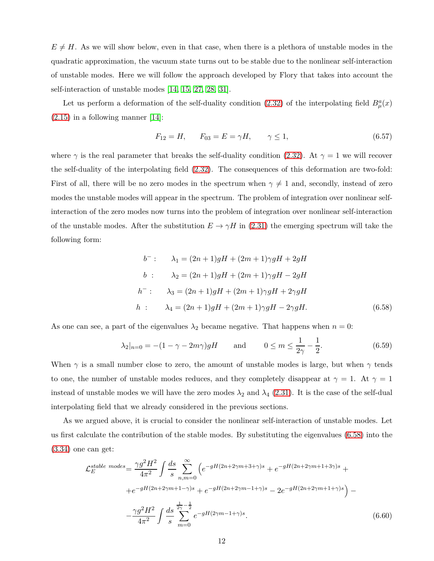$E \neq H$ . As we will show below, even in that case, when there is a plethora of unstable modes in the quadratic approximation, the vacuum state turns out to be stable due to the nonlinear self-interaction of unstable modes. Here we will follow the approach developed by Flory that takes into account the self-interaction of unstable modes [\[14,](#page-26-3) [15,](#page-26-4) [27,](#page-27-3) [28,](#page-27-4) [31\]](#page-27-7).

Let us perform a deformation of the self-duality condition [\(2.32\)](#page-6-1) of the interpolating field  $B^a_\mu(x)$  $(2.15)$  in a following manner [\[14\]](#page-26-3):

<span id="page-12-0"></span>
$$
F_{12} = H, \qquad F_{03} = E = \gamma H, \qquad \gamma \le 1,\tag{6.57}
$$

where  $\gamma$  is the real parameter that breaks the self-duality condition [\(2.32\)](#page-6-1). At  $\gamma = 1$  we will recover the self-duality of the interpolating field [\(2.32\)](#page-6-1). The consequences of this deformation are two-fold: First of all, there will be no zero modes in the spectrum when  $\gamma \neq 1$  and, secondly, instead of zero modes the unstable modes will appear in the spectrum. The problem of integration over nonlinear selfinteraction of the zero modes now turns into the problem of integration over nonlinear self-interaction of the unstable modes. After the substitution  $E \to \gamma H$  in [\(2.31\)](#page-5-2) the emerging spectrum will take the following form:

$$
b^{-}: \qquad \lambda_1 = (2n+1)gH + (2m+1)\gamma gH + 2gH
$$
  
\n
$$
b: \qquad \lambda_2 = (2n+1)gH + (2m+1)\gamma gH - 2gH
$$
  
\n
$$
h^{-}: \qquad \lambda_3 = (2n+1)gH + (2m+1)\gamma gH + 2\gamma gH
$$
  
\n
$$
h: \qquad \lambda_4 = (2n+1)gH + (2m+1)\gamma gH - 2\gamma gH.
$$
\n(6.58)

As one can see, a part of the eigenvalues  $\lambda_2$  became negative. That happens when  $n = 0$ :

<span id="page-12-1"></span>
$$
\lambda_2|_{n=0} = -(1 - \gamma - 2m\gamma)gH
$$
 and  $0 \le m \le \frac{1}{2\gamma} - \frac{1}{2}.$  (6.59)

When  $\gamma$  is a small number close to zero, the amount of unstable modes is large, but when  $\gamma$  tends to one, the number of unstable modes reduces, and they completely disappear at  $\gamma = 1$ . At  $\gamma = 1$ instead of unstable modes we will have the zero modes  $\lambda_2$  and  $\lambda_4$  [\(2.31\)](#page-5-2). It is the case of the self-dual interpolating field that we already considered in the previous sections.

As we argued above, it is crucial to consider the nonlinear self-interaction of unstable modes. Let us first calculate the contribution of the stable modes. By substituting the eigenvalues [\(6.58\)](#page-12-0) into the [\(3.34\)](#page-7-1) one can get:

$$
\mathcal{L}_{E}^{stable \ modes} = \frac{\gamma g^2 H^2}{4\pi^2} \int \frac{ds}{s} \sum_{n,m=0}^{\infty} \left( e^{-gH(2n+2\gamma m+3+\gamma)s} + e^{-gH(2n+2\gamma m+1+3\gamma)s} + e^{-gH(2n+2\gamma m+1-\gamma)s} + e^{-gH(2n+2\gamma m-1+\gamma)s} - 2e^{-gH(2n+2\gamma m+1+\gamma)s} \right) - \frac{\gamma g^2 H^2}{4\pi^2} \int \frac{ds}{s} \sum_{m=0}^{\frac{1}{2\gamma}-\frac{1}{2}} e^{-gH(2\gamma m-1+\gamma)s} . \tag{6.60}
$$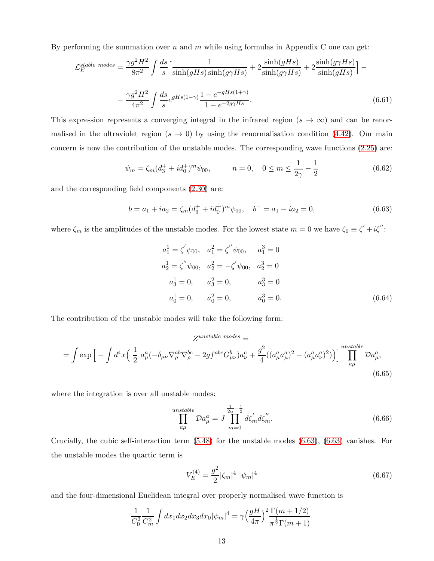By performing the summation over *n* and *m* while using formulas in Appendix C one can get:

$$
\mathcal{L}_E^{stable \ modes} = \frac{\gamma g^2 H^2}{8\pi^2} \int \frac{ds}{s} \Big[ \frac{1}{\sinh(gHs)\sinh(g\gamma Hs)} + 2\frac{\sinh(gHs)}{\sinh(g\gamma Hs)} + 2\frac{\sinh(g\gamma Hs)}{\sinh(gHs)} \Big] - \frac{\gamma g^2 H^2}{4\pi^2} \int \frac{ds}{s} e^{gHs(1-\gamma)} \frac{1 - e^{-gHs(1+\gamma)}}{1 - e^{-2g\gamma Hs}}.
$$
\n(6.61)

This expression represents a converging integral in the infrared region  $(s \to \infty)$  and can be renormalised in the ultraviolet region  $(s \to 0)$  by using the renormalisation condition [\(4.42\)](#page-8-0). Our main concern is now the contribution of the unstable modes. The corresponding wave functions [\(2.25\)](#page-5-3) are:

<span id="page-13-1"></span>
$$
\psi_m = \zeta_m (d_3^+ + i d_0^+)^m \psi_{00}, \qquad n = 0, \quad 0 \le m \le \frac{1}{2\gamma} - \frac{1}{2} \tag{6.62}
$$

and the corresponding field components [\(2.30\)](#page-5-2) are:

<span id="page-13-0"></span>
$$
b = a_1 + ia_2 = \zeta_m (d_3^+ + id_0^+)^m \psi_{00}, \quad b^- = a_1 - ia_2 = 0,
$$
\n
$$
(6.63)
$$

where  $\zeta_m$  is the amplitudes of the unstable modes. For the lowest state  $m = 0$  we have  $\zeta_0 \equiv \zeta' + i\zeta''$ :

$$
a_1^1 = \zeta' \psi_{00}, \quad a_1^2 = \zeta'' \psi_{00}, \quad a_1^3 = 0
$$
  
\n
$$
a_2^1 = \zeta'' \psi_{00}, \quad a_2^2 = -\zeta' \psi_{00}, \quad a_2^3 = 0
$$
  
\n
$$
a_3^1 = 0, \quad a_3^2 = 0, \quad a_3^3 = 0
$$
  
\n
$$
a_0^1 = 0, \quad a_0^2 = 0, \quad a_0^3 = 0.
$$
\n(6.64)

The contribution of the unstable modes will take the following form:

$$
Z^{unstable\ modes} =
$$
\n
$$
= \int \exp\left[-\int d^4x \left(\frac{1}{2} a^a_\mu (-\delta_{\mu\nu} \nabla^{\text{ab}}_\rho \nabla^{\text{bc}}_\rho - 2gf^{\text{abc}} G^b_{\mu\nu}) a^c_\nu + \frac{g^2}{4} \left((a^a_\mu a^a_\mu)^2 - (a^a_\mu a^a_\nu)^2\right)\right)\right] \prod_{a\mu}^{unstable} Da^a_\mu,
$$
\n(6.65)

where the integration is over all unstable modes:

$$
\prod_{a\mu}^{unstable} Da_{\mu}^{a} = J \prod_{m=0}^{\frac{1}{2\alpha} - \frac{1}{2}} d\zeta'_{m} d\zeta''_{m}.
$$
\n(6.66)

Crucially, the cubic self-interaction term [\(5.48\)](#page-9-1) for the unstable modes [\(6.63\)](#page-13-0), [\(6.63\)](#page-13-0) vanishes. For the unstable modes the quartic term is

$$
V_E^{(4)} = \frac{g^2}{2} |\zeta_m|^4 \ |\psi_m|^4 \tag{6.67}
$$

and the four-dimensional Euclidean integral over properly normalised wave function is

$$
\frac{1}{C_0^2} \frac{1}{C_m^2} \int dx_1 dx_2 dx_3 dx_0 |\psi_m|^4 = \gamma \Big(\frac{gH}{4\pi}\Big)^2 \frac{\Gamma(m+1/2)}{\pi^{\frac{1}{2}} \Gamma(m+1)}.
$$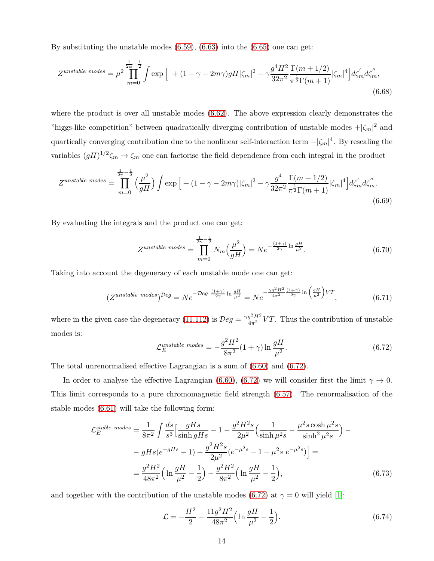By substituting the unstable modes  $(6.59)$ ,  $(6.63)$  into the  $(6.65)$  one can get:

$$
Z^{unstable\ modes} = \mu^2 \prod_{m=0}^{\frac{1}{2\alpha}-\frac{1}{2}} \int \exp\left[ \left(1 - (\gamma - 2m\gamma)gH|\zeta_m|^2 - \gamma \frac{g^4 H^2}{32\pi^2} \frac{\Gamma(m+1/2)}{\pi^{\frac{1}{2}} \Gamma(m+1)} |\zeta_m|^4 \right] d\zeta'_m d\zeta''_m, \tag{6.68}
$$

where the product is over all unstable modes [\(6.62\)](#page-13-1). The above expression clearly demonstrates the "higgs-like competition" between quadratically diverging contribution of unstable modes  $+|\zeta_m|^2$  and quartically converging contribution due to the nonlinear self-interaction term −|*ζm*| 4 . By rescaling the variables  $(gH)^{1/2}\zeta_m \to \zeta_m$  one can factorise the field dependence from each integral in the product

$$
Z^{unstable\ modes} = \prod_{m=0}^{\frac{1}{2\gamma} - \frac{1}{2}} \left(\frac{\mu^2}{gH}\right) \int \exp\left[ + (1 - \gamma - 2m\gamma) |\zeta_m|^2 - \gamma \frac{g^4}{32\pi^2} \frac{\Gamma(m+1/2)}{\pi^{\frac{1}{2}} \Gamma(m+1)} |\zeta_m|^4 \right] d\zeta'_m d\zeta''_m. \tag{6.69}
$$

By evaluating the integrals and the product one can get:

<span id="page-14-1"></span>
$$
Z^{unstable\ modes} = \prod_{m=0}^{\frac{1}{2\gamma} - \frac{1}{2}} N_m \left(\frac{\mu^2}{gH}\right) = N e^{-\frac{(1+\gamma)}{2\gamma} \ln \frac{gH}{\mu^2}}.
$$
 (6.70)

Taking into account the degeneracy of each unstable mode one can get:

$$
(Z^{unstable\ modes})^{\mathcal{D}eg} = N e^{-\mathcal{D}eg \frac{(1+\gamma)}{2\gamma} \ln \frac{gH}{\mu^2}} = N e^{-\frac{\gamma g^2 H^2}{4\pi^2} \frac{(1+\gamma)}{2\gamma} \ln \left(\frac{gH}{\mu^2}\right) VT},\tag{6.71}
$$

where in the given case the degeneracy [\(11.112\)](#page-21-0) is  $\mathcal{D}eg = \frac{\gamma g^2 H^2}{4\pi^2} V T$ . Thus the contribution of unstable modes is:

<span id="page-14-0"></span>
$$
\mathcal{L}_E^{unstable \ modes} = -\frac{g^2 H^2}{8\pi^2} (1+\gamma) \ln \frac{gH}{\mu^2}.
$$
\n(6.72)

The total unrenormalised effective Lagrangian is a sum of [\(6.60\)](#page-12-1) and [\(6.72\)](#page-14-0).

In order to analyse the effective Lagrangian [\(6.60\)](#page-12-1), [\(6.72\)](#page-14-0) we will consider first the limit  $\gamma \to 0$ . This limit corresponds to a pure chromomagnetic field strength [\(6.57\)](#page-12-0). The renormalisation of the stable modes [\(6.61\)](#page-12-1) will take the following form:

$$
\mathcal{L}_{E}^{stable \ modes} = \frac{1}{8\pi^{2}} \int \frac{ds}{s^{3}} \Big[ \frac{gHs}{\sinh gHs} - 1 - \frac{g^{2}H^{2}s}{2\mu^{2}} \Big( \frac{1}{\sinh \mu^{2}s} - \frac{\mu^{2}s \cosh \mu^{2}s}{\sinh^{2}\mu^{2}s} \Big) -
$$

$$
- gHs(e^{-gHs} - 1) + \frac{g^{2}H^{2}s}{2\mu^{2}} (e^{-\mu^{2}s} - 1 - \mu^{2}s e^{-\mu^{2}s}) \Big] =
$$

$$
= \frac{g^{2}H^{2}}{48\pi^{2}} \Big( \ln \frac{gH}{\mu^{2}} - \frac{1}{2} \Big) - \frac{g^{2}H^{2}}{8\pi^{2}} \Big( \ln \frac{gH}{\mu^{2}} - \frac{1}{2} \Big), \tag{6.73}
$$

and together with the contribution of the unstable modes [\(6.72\)](#page-14-0) at  $\gamma = 0$  will yield [\[1\]](#page-25-0):

$$
\mathcal{L} = -\frac{H^2}{2} - \frac{11g^2H^2}{48\pi^2} \Big( \ln \frac{gH}{\mu^2} - \frac{1}{2} \Big). \tag{6.74}
$$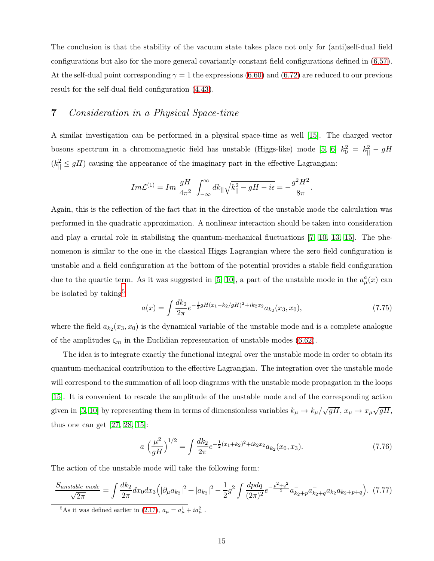The conclusion is that the stability of the vacuum state takes place not only for (anti)self-dual field configurations but also for the more general covariantly-constant field configurations defined in [\(6.57\)](#page-12-0). At the self-dual point corresponding  $\gamma = 1$  the expressions [\(6.60\)](#page-12-1) and [\(6.72\)](#page-14-0) are reduced to our previous result for the self-dual field configuration [\(4.43\)](#page-8-0).

## **7** *Consideration in a Physical Space-time*

A similar investigation can be performed in a physical space-time as well [\[15\]](#page-26-4). The charged vector bosons spectrum in a chromomagnetic field has unstable (Higgs-like) mode [\[5,](#page-25-4) [6\]](#page-25-5)  $k_0^2 = k_{||}^2 - gH$  $(k_{\parallel}^2 \leq gH)$  causing the appearance of the imaginary part in the effective Lagrangian:

$$
Im\mathcal{L}^{(1)} = Im \frac{gH}{4\pi^2} \int_{-\infty}^{\infty} dk_{||} \sqrt{k_{||}^2 - gH - i\epsilon} = -\frac{g^2 H^2}{8\pi}.
$$

Again, this is the reflection of the fact that in the direction of the unstable mode the calculation was performed in the quadratic approximation. A nonlinear interaction should be taken into consideration and play a crucial role in stabilising the quantum-mechanical fluctuations [\[7,](#page-25-6) [10,](#page-25-9) [13,](#page-26-2) [15\]](#page-26-4). The phenomenon is similar to the one in the classical Higgs Lagrangian where the zero field configuration is unstable and a field configuration at the bottom of the potential provides a stable field configuration due to the quartic term. As it was suggested in [\[5,](#page-25-4) [10\]](#page-25-9), a part of the unstable mode in the  $a^a_\mu(x)$  can be isolated by taking<sup>[5](#page-15-0)</sup>

$$
a(x) = \int \frac{dk_2}{2\pi} e^{-\frac{1}{2}gH(x_1 - k_2/gH)^2 + ik_2x_2} a_{k_2}(x_3, x_0), \tag{7.75}
$$

where the field  $a_{k_2}(x_3, x_0)$  is the dynamical variable of the unstable mode and is a complete analogue of the amplitudes  $\zeta_m$  in the Euclidian representation of unstable modes [\(6.62\)](#page-13-1).

The idea is to integrate exactly the functional integral over the unstable mode in order to obtain its quantum-mechanical contribution to the effective Lagrangian. The integration over the unstable mode will correspond to the summation of all loop diagrams with the unstable mode propagation in the loops [\[15\]](#page-26-4). It is convenient to rescale the amplitude of the unstable mode and of the corresponding action given in [\[5,](#page-25-4) [10\]](#page-25-9) by representing them in terms of dimensionless variables  $k_{\mu} \to k_{\mu}/\sqrt{gH}$ ,  $x_{\mu} \to x_{\mu}\sqrt{gH}$ , thus one can get  $[27, 28, 15]$  $[27, 28, 15]$  $[27, 28, 15]$ :

<span id="page-15-2"></span>
$$
a\left(\frac{\mu^2}{gH}\right)^{1/2} = \int \frac{dk_2}{2\pi} e^{-\frac{1}{2}(x_1+k_2)^2 + ik_2x_2} a_{k_2}(x_0, x_3).
$$
 (7.76)

The action of the unstable mode will take the following form:

<span id="page-15-1"></span>
$$
\frac{S_{unstable \ mode}}{\sqrt{2\pi}} = \int \frac{dk_2}{2\pi} dx_0 dx_3 \left( |\partial_\mu a_{k_2}|^2 + |a_{k_2}|^2 - \frac{1}{2} g^2 \int \frac{dpdq}{(2\pi)^2} e^{-\frac{p^2+q^2}{2}} a_{k_2+p}^- a_{k_2+q}^- a_{k_2}^- a_{k_2+p+q} \right). \tag{7.77}
$$

<span id="page-15-0"></span><sup>&</sup>lt;sup>5</sup>As it was defined earlier in [\(2.17\)](#page-4-2),  $a_{\mu} = a_{\mu}^{1} + i a_{\mu}^{2}$ .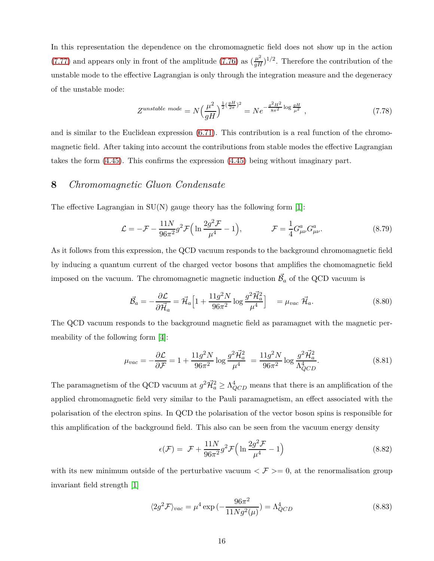In this representation the dependence on the chromomagnetic field does not show up in the action [\(7.77\)](#page-15-1) and appears only in front of the amplitude [\(7.76\)](#page-15-2) as  $(\frac{\mu^2}{gH})^{1/2}$ . Therefore the contribution of the unstable mode to the effective Lagrangian is only through the integration measure and the degeneracy of the unstable mode:

$$
Z^{unstable\ mode} = N \Big(\frac{\mu^2}{gH}\Big)^{\frac{1}{2}(\frac{gH}{2\pi})^2} = N e^{-\frac{g^2H^2}{8\pi^2} \log \frac{gH}{\mu^2}} \,,\tag{7.78}
$$

and is similar to the Euclidean expression [\(6.71\)](#page-14-1). This contribution is a real function of the chromomagnetic field. After taking into account the contributions from stable modes the effective Lagrangian takes the form [\(4.45\)](#page-9-0). This confirms the expression [\(4.45\)](#page-9-0) being without imaginary part.

### **8** *Chromomagnetic Gluon Condensate*

The effective Lagrangian in  $SU(N)$  gauge theory has the following form [\[1\]](#page-25-0):

<span id="page-16-3"></span>
$$
\mathcal{L} = -\mathcal{F} - \frac{11N}{96\pi^2} g^2 \mathcal{F} \Big( \ln \frac{2g^2 \mathcal{F}}{\mu^4} - 1 \Big), \qquad \qquad \mathcal{F} = \frac{1}{4} G^a_{\mu\nu} G^a_{\mu\nu}.
$$
 (8.79)

As it follows from this expression, the QCD vacuum responds to the background chromomagnetic field by inducing a quantum current of the charged vector bosons that amplifies the chomomagnetic field imposed on the vacuum. The chromomagnetic magnetic induction  $\vec{\beta}_a$  of the QCD vacuum is

<span id="page-16-2"></span>
$$
\vec{\mathcal{B}}_a = -\frac{\partial \mathcal{L}}{\partial \vec{\mathcal{H}}_a} = \vec{\mathcal{H}}_a \Big[ 1 + \frac{11g^2 N}{96\pi^2} \log \frac{g^2 \vec{\mathcal{H}}_a^2}{\mu^4} \Big] = \mu_{vac} \ \vec{\mathcal{H}}_a. \tag{8.80}
$$

The QCD vacuum responds to the background magnetic field as paramagnet with the magnetic permeability of the following form [\[4\]](#page-25-3):

$$
\mu_{vac} = -\frac{\partial \mathcal{L}}{\partial \mathcal{F}} = 1 + \frac{11g^2 N}{96\pi^2} \log \frac{g^2 \vec{\mathcal{H}}_a^2}{\mu^4} = \frac{11g^2 N}{96\pi^2} \log \frac{g^2 \vec{\mathcal{H}}_a^2}{\Lambda_{QCD}^4}.
$$
\n(8.81)

The paramagnetism of the QCD vacuum at  $g^2 \vec{\mathcal{H}}_a^2 \geq \Lambda_{QCD}^4$  means that there is an amplification of the applied chromomagnetic field very similar to the Pauli paramagnetism, an effect associated with the polarisation of the electron spins. In QCD the polarisation of the vector boson spins is responsible for this amplification of the background field. This also can be seen from the vacuum energy density

<span id="page-16-0"></span>
$$
\epsilon(\mathcal{F}) = \mathcal{F} + \frac{11N}{96\pi^2} g^2 \mathcal{F} \Big( \ln \frac{2g^2 \mathcal{F}}{\mu^4} - 1 \Big) \tag{8.82}
$$

with its new minimum outside of the perturbative vacuum  $\langle \mathcal{F} \rangle = 0$ , at the renormalisation group invariant field strength [\[1\]](#page-25-0)

<span id="page-16-1"></span>
$$
\langle 2g^2 \mathcal{F} \rangle_{vac} = \mu^4 \exp\left(-\frac{96\pi^2}{11Ng^2(\mu)}\right) = \Lambda_{QCD}^4 \tag{8.83}
$$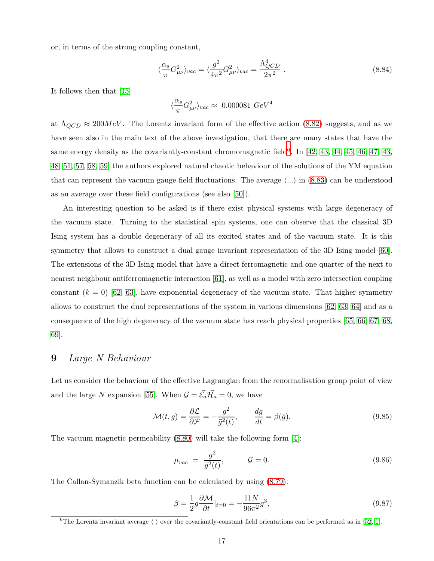or, in terms of the strong coupling constant,

$$
\langle \frac{\alpha_s}{\pi} G_{\mu\nu}^2 \rangle_{vac} = \langle \frac{g^2}{4\pi^2} G_{\mu\nu}^2 \rangle_{vac} = \frac{\Lambda_{QCD}^4}{2\pi^2} \ . \tag{8.84}
$$

It follows then that [\[15\]](#page-26-4)

$$
\langle \frac{\alpha_s}{\pi} G_{\mu\nu}^2 \rangle_{vac} \approx 0.000081 \ GeV^4
$$

at  $\Lambda_{QCD} \approx 200 MeV$ . The Lorentz invariant form of the effective action [\(8.82\)](#page-16-0) suggests, and as we have seen also in the main text of the above investigation, that there are many states that have the same energy density as the covariantly-constant chromomagnetic field<sup>[6](#page-17-0)</sup>. In  $[42, 43, 44, 45, 46, 47, 43,$  $[42, 43, 44, 45, 46, 47, 43,$  $[42, 43, 44, 45, 46, 47, 43,$  $[42, 43, 44, 45, 46, 47, 43,$  $[42, 43, 44, 45, 46, 47, 43,$  $[42, 43, 44, 45, 46, 47, 43,$  $[42, 43, 44, 45, 46, 47, 43,$ [48,](#page-28-10) [51,](#page-28-11) [57,](#page-29-0) [58,](#page-29-1) [59\]](#page-29-2) the authors explored natural chaotic behaviour of the solutions of the YM equation that can represent the vacuum gauge field fluctuations. The average  $\langle \ldots \rangle$  in  $(8.83)$  can be understood as an average over these field configurations (see also [\[50\]](#page-28-12)).

An interesting question to be asked is if there exist physical systems with large degeneracy of the vacuum state. Turning to the statistical spin systems, one can observe that the classical 3D Ising system has a double degeneracy of all its excited states and of the vacuum state. It is this symmetry that allows to construct a dual gauge invariant representation of the 3D Ising model [\[60\]](#page-29-3). The extensions of the 3D Ising model that have a direct ferromagnetic and one quarter of the next to nearest neighbour antiferromagnetic interaction [\[61\]](#page-29-4), as well as a model with zero intersection coupling constant  $(k = 0)$  [\[62,](#page-29-5) [63\]](#page-29-6), have exponential degeneracy of the vacuum state. That higher symmetry allows to construct the dual representations of the system in various dimensions [\[62,](#page-29-5) [63,](#page-29-6) [64\]](#page-29-7) and as a consequence of the high degeneracy of the vacuum state has reach physical properties [\[65,](#page-29-8) [66,](#page-30-0) [67,](#page-30-1) [68,](#page-30-2) [69\]](#page-30-3).

### **9** *Large N Behaviour*

Let us consider the behaviour of the effective Lagrangian from the renormalisation group point of view and the large *N* expansion [\[55\]](#page-29-9). When  $\mathcal{G} = \vec{\mathcal{E}}_a \vec{\mathcal{H}}_a = 0$ , we have

<span id="page-17-1"></span>
$$
\mathcal{M}(t,g) = \frac{\partial \mathcal{L}}{\partial \mathcal{F}} = -\frac{g^2}{\bar{g}^2(t)}, \qquad \frac{d\bar{g}}{dt} = \bar{\beta}(\bar{g}).\tag{9.85}
$$

The vacuum magnetic permeability [\(8.80\)](#page-16-2) will take the following form [\[4\]](#page-25-3):

$$
\mu_{vac} = \frac{g^2}{\bar{g}^2(t)}, \qquad \mathcal{G} = 0. \tag{9.86}
$$

The Callan-Symanzik beta function can be calculated by using [\(8.79\)](#page-16-3):

$$
\bar{\beta} = \frac{1}{2}g\frac{\partial \mathcal{M}}{\partial t}|_{t=0} = -\frac{11N}{96\pi^2}g^3,
$$
\n(9.87)

<span id="page-17-0"></span><sup>&</sup>lt;sup>6</sup>The Lorentz invariant average  $\langle \rangle$  over the covariantly-constant field orientations can be performed as in [\[52,](#page-28-13) [1\]](#page-25-0).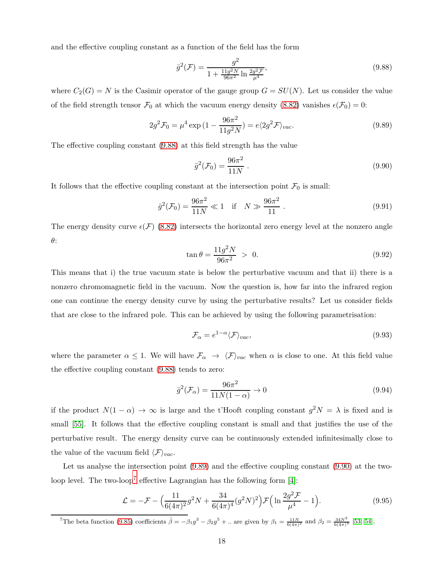and the effective coupling constant as a function of the field has the form

<span id="page-18-0"></span>
$$
\bar{g}^{2}(\mathcal{F}) = \frac{g^{2}}{1 + \frac{11g^{2}N}{96\pi^{2}}\ln\frac{2g^{2}\mathcal{F}}{\mu^{4}}},
$$
\n(9.88)

where  $C_2(G) = N$  is the Casimir operator of the gauge group  $G = SU(N)$ . Let us consider the value of the field strength tensor  $\mathcal{F}_0$  at which the vacuum energy density [\(8.82\)](#page-16-0) vanishes  $\epsilon(\mathcal{F}_0) = 0$ :

<span id="page-18-1"></span>
$$
2g^2 \mathcal{F}_0 = \mu^4 \exp\left(1 - \frac{96\pi^2}{11g^2 N}\right) = e\langle 2g^2 \mathcal{F} \rangle_{vac}.
$$
 (9.89)

The effective coupling constant [\(9.88\)](#page-18-0) at this field strength has the value

<span id="page-18-2"></span>
$$
\bar{g}^2(\mathcal{F}_0) = \frac{96\pi^2}{11N} \ . \tag{9.90}
$$

It follows that the effective coupling constant at the intersection point  $\mathcal{F}_0$  is small:

<span id="page-18-4"></span>
$$
\bar{g}^2(\mathcal{F}_0) = \frac{96\pi^2}{11N} \ll 1 \quad \text{if} \quad N \gg \frac{96\pi^2}{11} \,. \tag{9.91}
$$

The energy density curve  $\epsilon(\mathcal{F})$  [\(8.82\)](#page-16-0) intersects the horizontal zero energy level at the nonzero angle *θ*:

$$
\tan \theta = \frac{11g^2 N}{96\pi^2} > 0.
$$
\n(9.92)

This means that i) the true vacuum state is below the perturbative vacuum and that ii) there is a nonzero chromomagnetic field in the vacuum. Now the question is, how far into the infrared region one can continue the energy density curve by using the perturbative results? Let us consider fields that are close to the infrared pole. This can be achieved by using the following parametrisation:

$$
\mathcal{F}_{\alpha} = e^{1-\alpha} \langle \mathcal{F} \rangle_{vac},\tag{9.93}
$$

where the parameter  $\alpha \leq 1$ . We will have  $\mathcal{F}_{\alpha} \rightarrow \langle \mathcal{F} \rangle_{vac}$  when  $\alpha$  is close to one. At this field value the effective coupling constant [\(9.88\)](#page-18-0) tends to zero:

$$
\bar{g}^2(\mathcal{F}_\alpha) = \frac{96\pi^2}{11N(1-\alpha)} \to 0
$$
\n(9.94)

if the product  $N(1 - \alpha) \to \infty$  is large and the t'Hooft coupling constant  $g^2 N = \lambda$  is fixed and is small [\[55\]](#page-29-9). It follows that the effective coupling constant is small and that justifies the use of the perturbative result. The energy density curve can be continuously extended infinitesimally close to the value of the vacuum field  $\langle F \rangle_{vac}$ .

Let us analyse the intersection point [\(9.89\)](#page-18-1) and the effective coupling constant [\(9.90\)](#page-18-2) at the two-loop level. The two-loop<sup>[7](#page-18-3)</sup> effective Lagrangian has the following form  $[4]$ :

$$
\mathcal{L} = -\mathcal{F} - \left(\frac{11}{6(4\pi)^2}g^2N + \frac{34}{6(4\pi)^4}(g^2N)^2\right)\mathcal{F}\left(\ln\frac{2g^2\mathcal{F}}{\mu^4} - 1\right). \tag{9.95}
$$

<span id="page-18-3"></span><sup>7</sup>The beta function [\(9.85\)](#page-17-1) coefficients  $\bar{\beta} = -\beta_1 g^3 - \beta_2 g^5 + ...$  are given by  $\beta_1 = \frac{11N}{6(4\pi)^2}$  and  $\beta_2 = \frac{34N^2}{6(4\pi)^4}$  [\[53,](#page-29-10) [54\]](#page-29-11).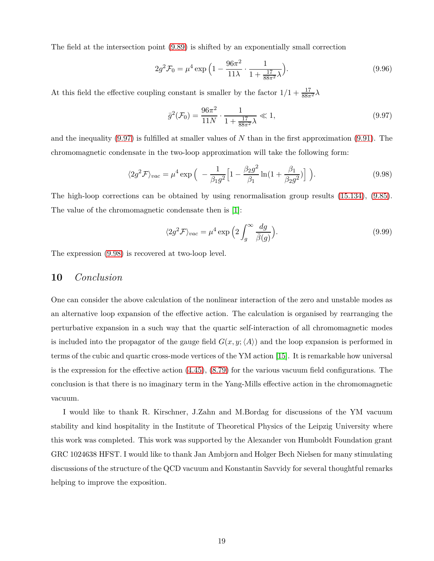The field at the intersection point [\(9.89\)](#page-18-1) is shifted by an exponentially small correction

$$
2g^2 \mathcal{F}_0 = \mu^4 \exp\left(1 - \frac{96\pi^2}{11\lambda} \cdot \frac{1}{1 + \frac{17}{88\pi^2}\lambda}\right). \tag{9.96}
$$

At this field the effective coupling constant is smaller by the factor  $1/1 + \frac{17}{88\pi^2}\lambda$ 

<span id="page-19-0"></span>
$$
\bar{g}^2(\mathcal{F}_0) = \frac{96\pi^2}{11N} \cdot \frac{1}{1 + \frac{17}{88\pi^2}\lambda} \ll 1,
$$
\n(9.97)

and the inequality [\(9.97\)](#page-19-0) is fulfilled at smaller values of *N* than in the first approximation [\(9.91\)](#page-18-4). The chromomagnetic condensate in the two-loop approximation will take the following form:

<span id="page-19-1"></span>
$$
\langle 2g^2 \mathcal{F} \rangle_{vac} = \mu^4 \exp \Big( -\frac{1}{\beta_1 g^2} \Big[ 1 - \frac{\beta_2 g^2}{\beta_1} \ln(1 + \frac{\beta_1}{\beta_2 g^2}) \Big] \Big). \tag{9.98}
$$

The high-loop corrections can be obtained by using renormalisation group results [\(15.134\)](#page-24-1), [\(9.85\)](#page-17-1). The value of the chromomagnetic condensate then is [\[1\]](#page-25-0):

$$
\langle 2g^2 \mathcal{F} \rangle_{vac} = \mu^4 \exp\left(2 \int_g^\infty \frac{dg}{\bar{\beta}(g)}\right). \tag{9.99}
$$

The expression [\(9.98\)](#page-19-1) is recovered at two-loop level.

#### **10** *Conclusion*

One can consider the above calculation of the nonlinear interaction of the zero and unstable modes as an alternative loop expansion of the effective action. The calculation is organised by rearranging the perturbative expansion in a such way that the quartic self-interaction of all chromomagnetic modes is included into the propagator of the gauge field  $G(x, y; \langle A \rangle)$  and the loop expansion is performed in terms of the cubic and quartic cross-mode vertices of the YM action [\[15\]](#page-26-4). It is remarkable how universal is the expression for the effective action  $(4.45)$ ,  $(8.79)$  for the various vacuum field configurations. The conclusion is that there is no imaginary term in the Yang-Mills effective action in the chromomagnetic vacuum.

I would like to thank R. Kirschner, J.Zahn and M.Bordag for discussions of the YM vacuum stability and kind hospitality in the Institute of Theoretical Physics of the Leipzig University where this work was completed. This work was supported by the Alexander von Humboldt Foundation grant GRC 1024638 HFST. I would like to thank Jan Ambjorn and Holger Bech Nielsen for many stimulating discussions of the structure of the QCD vacuum and Konstantin Savvidy for several thoughtful remarks helping to improve the exposition.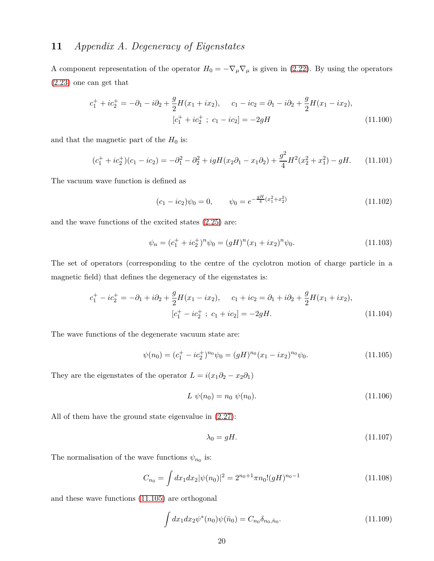## **11** *Appendix A. Degeneracy of Eigenstates*

A component representation of the operator  $H_0 = -\nabla_\mu \nabla_\mu$  is given in [\(2.22\)](#page-5-1). By using the operators [\(2.23\)](#page-5-1) one can get that

$$
c_1^+ + ic_2^+ = -\partial_1 - i\partial_2 + \frac{g}{2}H(x_1 + ix_2), \qquad c_1 - ic_2 = \partial_1 - i\partial_2 + \frac{g}{2}H(x_1 - ix_2),
$$
  

$$
[c_1^+ + ic_2^+ \; ; \; c_1 - ic_2] = -2gH
$$
 (11.100)

and that the magnetic part of the  $H_0$  is:

$$
(c_1^+ + ic_2^+) (c_1 - ic_2) = -\partial_1^2 - \partial_2^2 + igH(x_2\partial_1 - x_1\partial_2) + \frac{g^2}{4}H^2(x_2^2 + x_1^2) - gH. \tag{11.101}
$$

The vacuum wave function is defined as

$$
(c_1 - ic_2)\psi_0 = 0, \qquad \psi_0 = e^{-\frac{gH}{4}(x_1^2 + x_2^2)} \tag{11.102}
$$

and the wave functions of the excited states [\(2.25\)](#page-5-3) are:

<span id="page-20-0"></span>
$$
\psi_n = (c_1^+ + ic_2^+)^n \psi_0 = (gH)^n (x_1 + ix_2)^n \psi_0.
$$
\n(11.103)

The set of operators (corresponding to the centre of the cyclotron motion of charge particle in a magnetic field) that defines the degeneracy of the eigenstates is:

$$
c_1^+ - ic_2^+ = -\partial_1 + i\partial_2 + \frac{g}{2}H(x_1 - ix_2), \qquad c_1 + ic_2 = \partial_1 + i\partial_2 + \frac{g}{2}H(x_1 + ix_2),
$$
  

$$
[c_1^+ - ic_2^+ \; ; \; c_1 + ic_2] = -2gH.
$$
 (11.104)

The wave functions of the degenerate vacuum state are:

$$
\psi(n_0) = (c_1^+ - ic_2^+)^{n_0} \psi_0 = (gH)^{n_0} (x_1 - ix_2)^{n_0} \psi_0.
$$
\n(11.105)

They are the eigenstates of the operator  $L = i(x_1\partial_2 - x_2\partial_1)$ 

$$
L \psi(n_0) = n_0 \psi(n_0). \tag{11.106}
$$

All of them have the ground state eigenvalue in [\(2.27\)](#page-5-0):

$$
\lambda_0 = gH. \tag{11.107}
$$

The normalisation of the wave functions  $\psi_{n_0}$  is:

$$
C_{n_0} = \int dx_1 dx_2 |\psi(n_0)|^2 = 2^{n_0+1} \pi n_0! (gH)^{n_0-1}
$$
\n(11.108)

and these wave functions [\(11.105\)](#page-20-0) are orthogonal

$$
\int dx_1 dx_2 \psi^*(n_0) \psi(\bar{n}_0) = C_{n_0} \delta_{n_0, \bar{n}_0}.
$$
\n(11.109)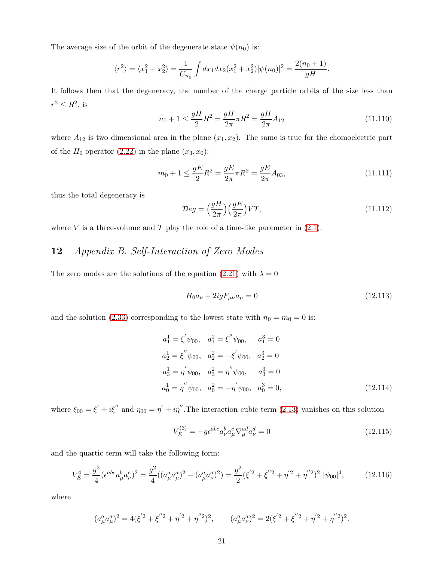The average size of the orbit of the degenerate state  $\psi(n_0)$  is:

$$
\langle r^2 \rangle = \langle x_1^2 + x_2^2 \rangle = \frac{1}{C_{n_0}} \int dx_1 dx_2 (x_1^2 + x_2^2) |\psi(n_0)|^2 = \frac{2(n_0 + 1)}{gH}.
$$

It follows then that the degeneracy, the number of the charge particle orbits of the size less than  $r^2 \leq R^2$ , is

$$
n_0 + 1 \le \frac{gH}{2}R^2 = \frac{gH}{2\pi}\pi R^2 = \frac{gH}{2\pi}A_{12}
$$
\n(11.110)

where  $A_{12}$  is two dimensional area in the plane  $(x_1, x_2)$ . The same is true for the chomoelectric part of the  $H_0$  operator [\(2.22\)](#page-5-1) in the plane  $(x_3, x_0)$ :

$$
m_0 + 1 \le \frac{gE}{2}R^2 = \frac{gE}{2\pi}\pi R^2 = \frac{gE}{2\pi}A_{03},\tag{11.111}
$$

thus the total degeneracy is

<span id="page-21-0"></span>
$$
\mathcal{D}eg = \left(\frac{gH}{2\pi}\right)\left(\frac{gE}{2\pi}\right)VT,\tag{11.112}
$$

where  $V$  is a three-volume and  $T$  play the role of a time-like parameter in  $(2.1)$ .

## **12** *Appendix B. Self-Interaction of Zero Modes*

The zero modes are the solutions of the equation [\(2.21\)](#page-5-1) with  $\lambda = 0$ 

$$
H_0 a_\nu + 2ig F_{\mu\nu} a_\mu = 0 \tag{12.113}
$$

and the solution [\(2.33\)](#page-6-1) corresponding to the lowest state with  $n_0 = m_0 = 0$  is:

$$
a_1^1 = \xi' \psi_{00}, \quad a_1^2 = \xi'' \psi_{00}, \quad a_1^3 = 0
$$
  
\n
$$
a_2^1 = \xi'' \psi_{00}, \quad a_2^2 = -\xi' \psi_{00}, \quad a_2^3 = 0
$$
  
\n
$$
a_3^1 = \eta' \psi_{00}, \quad a_3^2 = \eta'' \psi_{00}, \quad a_3^3 = 0
$$
  
\n
$$
a_0^1 = \eta'' \psi_{00}, \quad a_0^2 = -\eta' \psi_{00}, \quad a_0^3 = 0,
$$
\n(12.114)

where  $\xi_{00} = \xi' + i\xi''$  and  $\eta_{00} = \eta' + i\eta''$ . The interaction cubic term [\(2.13\)](#page-3-3) vanishes on this solution

$$
V_E^{(3)} = -g\epsilon^{abc}a^b_\nu a^c_\mu \nabla^{ad}_\mu a^d_\nu = 0\tag{12.115}
$$

and the quartic term will take the following form:

<span id="page-21-1"></span>
$$
V_E^4 = \frac{g^2}{4} (\epsilon^{abc} a_\mu^b a_\nu^c)^2 = \frac{g^2}{4} ((a_\mu^a a_\mu^a)^2 - (a_\mu^a a_\nu^a)^2) = \frac{g^2}{2} (\xi'^2 + \xi''^2 + \eta'^2 + \eta''^2)^2 |\psi_{00}|^4, \tag{12.116}
$$

where

$$
(a_{\mu}^{a}a_{\mu}^{a})^{2} = 4(\xi'^{2} + \xi''^{2} + \eta'^{2} + \eta''^{2})^{2}, \qquad (a_{\mu}^{a}a_{\nu}^{a})^{2} = 2(\xi'^{2} + \xi''^{2} + \eta'^{2} + \eta''^{2})^{2}.
$$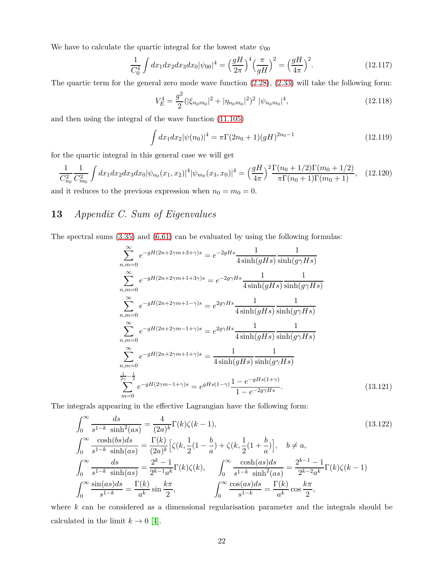We have to calculate the quartic integral for the lowest state  $\psi_{00}$ 

$$
\frac{1}{C_0^4} \int dx_1 dx_2 dx_3 dx_0 |\psi_{00}|^4 = \left(\frac{gH}{2\pi}\right)^4 \left(\frac{\pi}{gH}\right)^2 = \left(\frac{gH}{4\pi}\right)^2.
$$
 (12.117)

The quartic term for the general zero mode wave function [\(2.28\)](#page-5-0), [\(2.33\)](#page-6-1) will take the following form:

$$
V_E^4 = \frac{g^2}{2} (|\xi_{n_0 m_0}|^2 + |\eta_{n_0 m_0}|^2)^2 |\psi_{n_0 m_0}|^4,
$$
\n(12.118)

and then using the integral of the wave function [\(11.105\)](#page-20-0)

$$
\int dx_1 dx_2 |\psi(n_0)|^4 = \pi \Gamma(2n_0 + 1)(gH)^{2n_0 - 1}
$$
\n(12.119)

for the quartic integral in this general case we will get

<span id="page-22-0"></span>
$$
\frac{1}{C_{n_0}^2} \frac{1}{C_{m_0}^2} \int dx_1 dx_2 dx_3 dx_0 |\psi_{n_0}(x_1, x_2)|^4 |\psi_{m_0}(x_3, x_0)|^4 = \left(\frac{gH}{4\pi}\right)^2 \frac{\Gamma(n_0 + 1/2)\Gamma(m_0 + 1/2)}{\pi \Gamma(n_0 + 1)\Gamma(m_0 + 1)},
$$
 (12.120)  
and it reduces to the previous expression when  $n_0 = m_0 = 0$ .

## **13** *Appendix C. Sum of Eigenvalues*

The spectral sums [\(3.35\)](#page-7-1) and [\(6.61\)](#page-12-1) can be evaluated by using the following formulas:

$$
\sum_{n,m=0}^{\infty} e^{-gH(2n+2\gamma m+3+\gamma)s} = e^{-2gHs} \frac{1}{4\sinh(gHs)} \frac{1}{\sinh(g\gamma Hs)}
$$
  
\n
$$
\sum_{n,m=0}^{\infty} e^{-gH(2n+2\gamma m+1+3\gamma)s} = e^{-2g\gamma Hs} \frac{1}{4\sinh(gHs)} \frac{1}{\sinh(g\gamma Hs)}
$$
  
\n
$$
\sum_{n,m=0}^{\infty} e^{-gH(2n+2\gamma m+1-\gamma)s} = e^{2g\gamma Hs} \frac{1}{4\sinh(gHs)} \frac{1}{\sinh(g\gamma Hs)}
$$
  
\n
$$
\sum_{n,m=0}^{\infty} e^{-gH(2n+2\gamma m-1+\gamma)s} = e^{2g\gamma Hs} \frac{1}{4\sinh(gHs)} \frac{1}{\sinh(g\gamma Hs)}
$$
  
\n
$$
\sum_{n,m=0}^{\infty} e^{-gH(2n+2\gamma m+1+\gamma)s} = \frac{1}{4\sinh(gHs)} \frac{1}{\sinh(g\gamma Hs)}
$$
  
\n
$$
\sum_{n,m=0}^{\frac{1}{2\gamma}-\frac{1}{2}} e^{-gH(2\gamma m-1+\gamma)s} = e^{gHs(1-\gamma)} \frac{1-e^{-gHs(1+\gamma)}}{1-e^{-2g\gamma Hs}}.
$$
 (13.121)

The integrals appearing in the effective Lagrangian have the following form:

$$
\int_0^\infty \frac{ds}{s^{1-k} \sinh^2(as)} = \frac{4}{(2a)^k} \Gamma(k)\zeta(k-1),
$$
\n
$$
\int_0^\infty \frac{\cosh(bs)ds}{s^{1-k} \sinh(as)} = \frac{\Gamma(k)}{(2a)^k} \Big[ \zeta(k, \frac{1}{2}(1 - \frac{b}{a}) + \zeta(k, \frac{1}{2}(1 + \frac{b}{a}) \Big], \quad b \neq a,
$$
\n
$$
\int_0^\infty \frac{ds}{s^{1-k} \sinh(as)} = \frac{2^k - 1}{2^{k-1}a^k} \Gamma(k)\zeta(k),
$$
\n
$$
\int_0^\infty \frac{\cosh(as)ds}{s^{1-k} \sinh^2(as)} = \frac{2^{k-1} - 1}{2^{k-2}a^k} \Gamma(k)\zeta(k-1)
$$
\n
$$
\int_0^\infty \frac{\sin(as)ds}{s^{1-k}} = \frac{\Gamma(k)}{a^k} \sin \frac{k\pi}{2},
$$
\n
$$
\int_0^\infty \frac{\cos(as)ds}{s^{1-k}} = \frac{\Gamma(k)}{a^k} \cos \frac{k\pi}{2},
$$
\n(13.122)

where *k* can be considered as a dimensional regularisation parameter and the integrals should be calculated in the limit  $k\to 0$  [\[4\]](#page-25-3).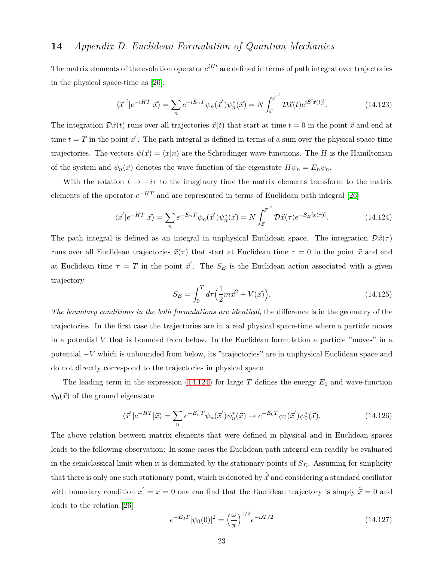## <span id="page-23-0"></span>**14** *Appendix D. Euclidean Formulation of Quantum Mechanics*

The matrix elements of the evolution operator  $e^{iHt}$  are defined in terms of path integral over trajectories in the physical space-time as [\[20\]](#page-26-9):

$$
\langle \vec{x}' | e^{-iHT} | \vec{x} \rangle = \sum_{n} e^{-iE_n T} \psi_n(\vec{x}') \psi_n^*(\vec{x}) = N \int_{\vec{x}}^{\vec{x}'} \mathcal{D}\vec{x}(t) e^{iS[\vec{x}(t)]}. \tag{14.123}
$$

The integration  $\mathcal{D}\vec{x}(t)$  runs over all trajectories  $\vec{x}(t)$  that start at time  $t = 0$  in the point  $\vec{x}$  and end at time  $t = T$  in the point  $\vec{x}'$ . The path integral is defined in terms of a sum over the physical space-time trajectories. The vectors  $\psi(\vec{x}) = \langle x|n \rangle$  are the Schrödinger wave functions. The *H* is the Hamiltonian of the system and  $\psi_n(\vec{x})$  denotes the wave function of the eigenstate  $H\psi_n = E_n\psi_n$ .

With the rotation  $t \to -i\tau$  to the imaginary time the matrix elements transform to the matrix elements of the operator  $e^{-HT}$  and are represented in terms of Euclidean path integral [\[26\]](#page-27-2)

$$
\langle \vec{x}' | e^{-HT} | \vec{x} \rangle = \sum_{n} e^{-E_n T} \psi_n(\vec{x}') \psi_n^*(\vec{x}) = N \int_{\vec{x}}^{\vec{x}'} \mathcal{D}\vec{x}(\tau) e^{-S_E[x(\tau)]}. \tag{14.124}
$$

The path integral is defined as an integral in unphysical Euclidean space. The integration  $\mathcal{D}\vec{x}(\tau)$ runs over all Euclidean trajectories  $\vec{x}(\tau)$  that start at Euclidean time  $\tau = 0$  in the point  $\vec{x}$  and end at Euclidean time  $\tau = T$  in the point  $\vec{x}'$ . The  $S_E$  is the Euclidean action associated with a given trajectory

$$
S_E = \int_0^T d\tau \left(\frac{1}{2}m\dot{\vec{x}}^2 + V(\vec{x})\right).
$$
 (14.125)

*The boundary conditions in the both formulations are identical*, the difference is in the geometry of the trajectories. In the first case the trajectories are in a real physical space-time where a particle moves in a potential *V* that is bounded from below. In the Euclidean formulation a particle "moves" in a potential −*V* which is unbounded from below, its "trajectories" are in unphysical Euclidean space and do not directly correspond to the trajectories in physical space.

The leading term in the expression  $(14.124)$  for large *T* defines the energy  $E_0$  and wave-function  $\psi_0(\vec{x})$  of the ground eigenstate

$$
\langle \vec{x}' | e^{-HT} | \vec{x} \rangle = \sum_{n} e^{-E_n T} \psi_n(\vec{x}') \psi_n^*(\vec{x}) \rightarrow e^{-E_0 T} \psi_0(\vec{x}') \psi_0^*(\vec{x}). \tag{14.126}
$$

The above relation between matrix elements that were defined in physical and in Euclidean spaces leads to the following observation: In some cases the Euclidean path integral can readily be evaluated in the semiclassical limit when it is dominated by the stationary points of  $S_E$ . Assuming for simplicity that there is only one such stationary point, which is denoted by  $\hat{\vec{x}}$  and considering a standard oscillator with boundary condition  $x' = x = 0$  one can find that the Euclidean trajectory is simply  $\hat{\vec{x}} = 0$  and leads to the relation [\[26\]](#page-27-2)

$$
e^{-E_0 T} |\psi_0(0)|^2 = \left(\frac{\omega}{\pi}\right)^{1/2} e^{-\omega T/2}
$$
\n(14.127)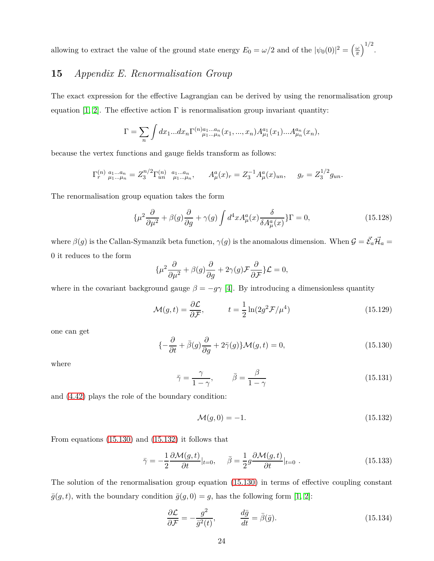allowing to extract the value of the ground state energy  $E_0 = \omega/2$  and of the  $|\psi_0(0)|^2 = \left(\frac{\omega}{\pi}\right)^2$  $\frac{\omega}{\pi}$ <sup>1/2</sup>.

## **15** *Appendix E. Renormalisation Group*

The exact expression for the effective Lagrangian can be derived by using the renormalisation group equation [\[1,](#page-25-0) [2\]](#page-25-1). The effective action  $\Gamma$  is renormalisation group invariant quantity:

$$
\Gamma = \sum_{n} \int dx_1...dx_n \Gamma^{(n)}_{\mu_1...\mu_n}(x_1,...,x_n) A_{\mu_1}^{a_1}(x_1)...A_{\mu_n}^{a_n}(x_n),
$$

because the vertex functions and gauge fields transform as follows:

$$
\Gamma_r^{(n)} \, \, \overset{a_1 \dots a_n}{\mu_1 \dots \mu_n} = Z_3^{n/2} \Gamma_{un}^{(n)} \, \, \overset{a_1 \dots a_n}{\mu_1 \dots \mu_n}, \qquad A_\mu^a(x)_r = Z_3^{-1} A_\mu^a(x)_{un}, \qquad g_r = Z_3^{1/2} g_{un}.
$$

The renormalisation group equation takes the form

<span id="page-24-0"></span>
$$
\{\mu^2 \frac{\partial}{\partial \mu^2} + \beta(g)\frac{\partial}{\partial g} + \gamma(g) \int d^4x A^a_\mu(x) \frac{\delta}{\delta A^a_\mu(x)}\} \Gamma = 0,\tag{15.128}
$$

where  $\beta(g)$  is the Callan-Symanzik beta function,  $\gamma(g)$  is the anomalous dimension. When  $\mathcal{G} = \vec{\mathcal{E}}_a \vec{\mathcal{H}}_a =$ 0 it reduces to the form

$$
\{\mu^2 \frac{\partial}{\partial \mu^2} + \beta(g)\frac{\partial}{\partial g} + 2\gamma(g)\mathcal{F}\frac{\partial}{\partial \mathcal{F}}\mathcal{L} = 0,
$$

where in the covariant background gauge  $\beta = -g\gamma$  [\[4\]](#page-25-3). By introducing a dimensionless quantity

$$
\mathcal{M}(g,t) = \frac{\partial \mathcal{L}}{\partial \mathcal{F}}, \qquad t = \frac{1}{2} \ln(2g^2 \mathcal{F}/\mu^4)
$$
 (15.129)

one can get

<span id="page-24-2"></span>
$$
\{-\frac{\partial}{\partial t} + \bar{\beta}(g)\frac{\partial}{\partial g} + 2\bar{\gamma}(g)\}\mathcal{M}(g,t) = 0,\tag{15.130}
$$

where

$$
\bar{\gamma} = \frac{\gamma}{1 - \gamma}, \qquad \bar{\beta} = \frac{\beta}{1 - \gamma}
$$
\n(15.131)

and [\(4.42\)](#page-8-0) plays the role of the boundary condition:

<span id="page-24-3"></span>
$$
\mathcal{M}(g,0) = -1.\tag{15.132}
$$

From equations [\(15.130\)](#page-24-2) and [\(15.132\)](#page-24-3) it follows that

<span id="page-24-4"></span>
$$
\bar{\gamma} = -\frac{1}{2} \frac{\partial \mathcal{M}(g, t)}{\partial t}|_{t=0}, \quad \bar{\beta} = \frac{1}{2} g \frac{\partial \mathcal{M}(g, t)}{\partial t}|_{t=0}.
$$
\n(15.133)

The solution of the renormalisation group equation [\(15.130\)](#page-24-2) in terms of effective coupling constant  $\bar{g}(g, t)$ , with the boundary condition  $\bar{g}(g, 0) = g$ , has the following form [\[1,](#page-25-0) [2\]](#page-25-1):

<span id="page-24-1"></span>
$$
\frac{\partial \mathcal{L}}{\partial \mathcal{F}} = -\frac{g^2}{\bar{g}^2(t)}, \qquad \frac{d\bar{g}}{dt} = \bar{\beta}(\bar{g}). \tag{15.134}
$$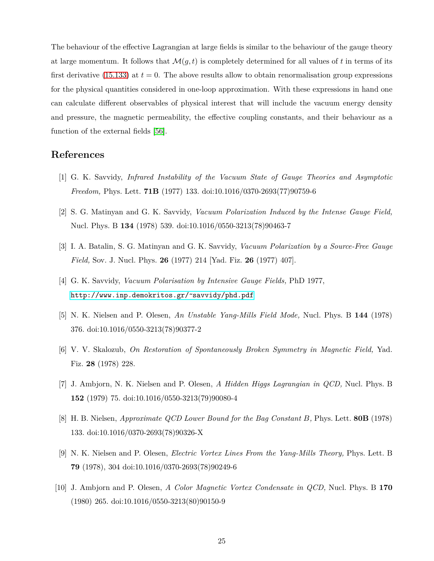The behaviour of the effective Lagrangian at large fields is similar to the behaviour of the gauge theory at large momentum. It follows that  $\mathcal{M}(g,t)$  is completely determined for all values of t in terms of its first derivative  $(15.133)$  at  $t = 0$ . The above results allow to obtain renormalisation group expressions for the physical quantities considered in one-loop approximation. With these expressions in hand one can calculate different observables of physical interest that will include the vacuum energy density and pressure, the magnetic permeability, the effective coupling constants, and their behaviour as a function of the external fields [\[56\]](#page-29-12).

#### <span id="page-25-0"></span>**References**

- <span id="page-25-1"></span>[1] G. K. Savvidy, *Infrared Instability of the Vacuum State of Gauge Theories and Asymptotic Freedom,* Phys. Lett. **71B** (1977) 133. doi:10.1016/0370-2693(77)90759-6
- <span id="page-25-2"></span>[2] S. G. Matinyan and G. K. Savvidy, *Vacuum Polarization Induced by the Intense Gauge Field,* Nucl. Phys. B **134** (1978) 539. doi:10.1016/0550-3213(78)90463-7
- <span id="page-25-3"></span>[3] I. A. Batalin, S. G. Matinyan and G. K. Savvidy, *Vacuum Polarization by a Source-Free Gauge Field,* Sov. J. Nucl. Phys. **26** (1977) 214 [Yad. Fiz. **26** (1977) 407].
- <span id="page-25-4"></span>[4] G. K. Savvidy, *Vacuum Polarisation by Intensive Gauge Fields,* PhD 1977, http://www.inp.demokritos.gr/~savvidy/phd.pdf
- <span id="page-25-5"></span>[5] N. K. Nielsen and P. Olesen, *An Unstable Yang-Mills Field Mode,* Nucl. Phys. B **144** (1978) 376. doi:10.1016/0550-3213(78)90377-2
- <span id="page-25-6"></span>[6] V. V. Skalozub, *On Restoration of Spontaneously Broken Symmetry in Magnetic Field,* Yad. Fiz. **28** (1978) 228.
- <span id="page-25-7"></span>[7] J. Ambjorn, N. K. Nielsen and P. Olesen, *A Hidden Higgs Lagrangian in QCD,* Nucl. Phys. B **152** (1979) 75. doi:10.1016/0550-3213(79)90080-4
- <span id="page-25-8"></span>[8] H. B. Nielsen, *Approximate QCD Lower Bound for the Bag Constant B,* Phys. Lett. **80B** (1978) 133. doi:10.1016/0370-2693(78)90326-X
- <span id="page-25-9"></span>[9] N. K. Nielsen and P. Olesen, *Electric Vortex Lines From the Yang-Mills Theory,* Phys. Lett. B **79** (1978), 304 doi:10.1016/0370-2693(78)90249-6
- [10] J. Ambjorn and P. Olesen, *A Color Magnetic Vortex Condensate in QCD,* Nucl. Phys. B **170** (1980) 265. doi:10.1016/0550-3213(80)90150-9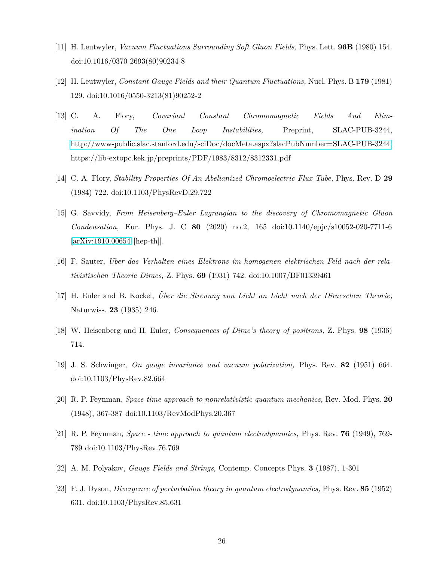- <span id="page-26-1"></span><span id="page-26-0"></span>[11] H. Leutwyler, *Vacuum Fluctuations Surrounding Soft Gluon Fields,* Phys. Lett. **96B** (1980) 154. doi:10.1016/0370-2693(80)90234-8
- <span id="page-26-2"></span>[12] H. Leutwyler, *Constant Gauge Fields and their Quantum Fluctuations,* Nucl. Phys. B **179** (1981) 129. doi:10.1016/0550-3213(81)90252-2
- [13] C. A. Flory, *Covariant Constant Chromomagnetic Fields And Elimination Of The One Loop Instabilities,* Preprint, SLAC-PUB-3244, [http://www-public.slac.stanford.edu/sciDoc/docMeta.aspx?slacPubNumber=SLAC-PUB-3244;](http://www-public.slac.stanford.edu/sciDoc/docMeta.aspx?slacPubNumber=SLAC-PUB-3244) https://lib-extopc.kek.jp/preprints/PDF/1983/8312/8312331.pdf
- <span id="page-26-4"></span><span id="page-26-3"></span>[14] C. A. Flory, *Stability Properties Of An Abelianized Chromoelectric Flux Tube,* Phys. Rev. D **29** (1984) 722. doi:10.1103/PhysRevD.29.722
- [15] G. Savvidy, *From Heisenberg–Euler Lagrangian to the discovery of Chromomagnetic Gluon Condensation,* Eur. Phys. J. C **80** (2020) no.2, 165 doi:10.1140/epjc/s10052-020-7711-6 [\[arXiv:1910.00654](http://arxiv.org/abs/1910.00654) [hep-th]].
- <span id="page-26-6"></span><span id="page-26-5"></span>[16] F. Sauter, *Uber das Verhalten eines Elektrons im homogenen elektrischen Feld nach der relativistischen Theorie Diracs,* Z. Phys. **69** (1931) 742. doi:10.1007/BF01339461
- <span id="page-26-7"></span>[17] H. Euler and B. Kockel, *Über die Streuung von Licht an Licht nach der Diracschen Theorie,* Naturwiss. **23** (1935) 246.
- <span id="page-26-8"></span>[18] W. Heisenberg and H. Euler, *Consequences of Dirac's theory of positrons,* Z. Phys. **98** (1936) 714.
- <span id="page-26-9"></span>[19] J. S. Schwinger, *On gauge invariance and vacuum polarization,* Phys. Rev. **82** (1951) 664. doi:10.1103/PhysRev.82.664
- <span id="page-26-10"></span>[20] R. P. Feynman, *Space-time approach to nonrelativistic quantum mechanics,* Rev. Mod. Phys. **20** (1948), 367-387 doi:10.1103/RevModPhys.20.367
- <span id="page-26-11"></span>[21] R. P. Feynman, *Space - time approach to quantum electrodynamics,* Phys. Rev. **76** (1949), 769- 789 doi:10.1103/PhysRev.76.769
- <span id="page-26-12"></span>[22] A. M. Polyakov, *Gauge Fields and Strings,* Contemp. Concepts Phys. **3** (1987), 1-301
- [23] F. J. Dyson, *Divergence of perturbation theory in quantum electrodynamics,* Phys. Rev. **85** (1952) 631. doi:10.1103/PhysRev.85.631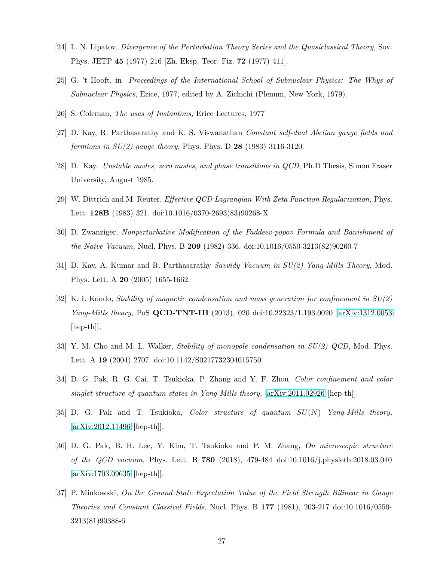- <span id="page-27-1"></span><span id="page-27-0"></span>[24] L. N. Lipatov, *Divergence of the Perturbation Theory Series and the Quasiclassical Theory,* Sov. Phys. JETP **45** (1977) 216 [Zh. Eksp. Teor. Fiz. **72** (1977) 411].
- <span id="page-27-2"></span>[25] G. 't Hooft, in *Proceedings of the International School of Subnuclear Physics: The Whys of Subnuclear Physics*, Erice, 1977, edited by A. Zichichi (Plenum, New York, 1979).
- <span id="page-27-3"></span>[26] S. Coleman, *The uses of Instantons,* Erice Lectures, 1977
- <span id="page-27-4"></span>[27] D. Kay, R. Parthasarathy and K. S. Viswanathan *Constant self-dual Abelian gauge fields and fermions in SU(2) gauge theory,* Phys. Phys. D **28** (1983) 3116-3120.
- <span id="page-27-5"></span>[28] D. Kay. *Unstable modes, zero modes, and phase transitions in QCD*, Ph.D Thesis, Simon Fraser University, August 1985.
- <span id="page-27-6"></span>[29] W. Dittrich and M. Reuter, *Effective QCD Lagrangian With Zeta Function Regularization,* Phys. Lett. **128B** (1983) 321. doi:10.1016/0370-2693(83)90268-X
- <span id="page-27-7"></span>[30] D. Zwanziger, *Nonperturbative Modification of the Faddeev-popov Formula and Banishment of the Naive Vacuum,* Nucl. Phys. B **209** (1982) 336. doi:10.1016/0550-3213(82)90260-7
- <span id="page-27-8"></span>[31] D. Kay, A. Kumar and R. Parthasarathy *Savvidy Vacuum in SU(2) Yang-Mills Theory,* Mod. Phys. Lett. A **20** (2005) 1655-1662.
- [32] K. I. Kondo, *Stability of magnetic condensation and mass generation for confinement in SU(2) Yang-Mills theory,* PoS **QCD-TNT-III** (2013), 020 doi:10.22323/1.193.0020 [\[arXiv:1312.0053](http://arxiv.org/abs/1312.0053) [hep-th]].
- <span id="page-27-10"></span><span id="page-27-9"></span>[33] Y. M. Cho and M. L. Walker, *Stability of monopole condensation in SU(2) QCD,* Mod. Phys. Lett. A **19** (2004) 2707. doi:10.1142/S0217732304015750
- <span id="page-27-11"></span>[34] D. G. Pak, R. G. Cai, T. Tsukioka, P. Zhang and Y. F. Zhou, *Color confinement and color singlet structure of quantum states in Yang-Mills theory,* [\[arXiv:2011.02926](http://arxiv.org/abs/2011.02926) [hep-th]].
- <span id="page-27-12"></span>[35] D. G. Pak and T. Tsukioka, *Color structure of quantum SU*(*N*) *Yang-Mills theory,* [\[arXiv:2012.11496](http://arxiv.org/abs/2012.11496) [hep-th]].
- [36] D. G. Pak, B. H. Lee, Y. Kim, T. Tsukioka and P. M. Zhang, *On microscopic structure of the QCD vacuum,* Phys. Lett. B **780** (2018), 479-484 doi:10.1016/j.physletb.2018.03.040 [\[arXiv:1703.09635](http://arxiv.org/abs/1703.09635) [hep-th]].
- <span id="page-27-13"></span>[37] P. Minkowski, *On the Ground State Expectation Value of the Field Strength Bilinear in Gauge Theories and Constant Classical Fields,* Nucl. Phys. B **177** (1981), 203-217 doi:10.1016/0550- 3213(81)90388-6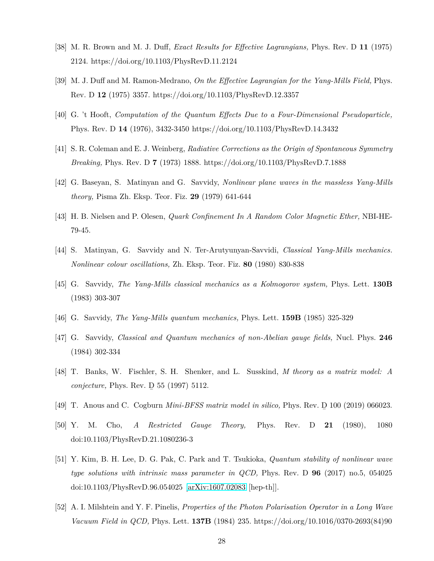- <span id="page-28-1"></span><span id="page-28-0"></span>[38] M. R. Brown and M. J. Duff, *Exact Results for Effective Lagrangians,* Phys. Rev. D **11** (1975) 2124. https://doi.org/10.1103/PhysRevD.11.2124
- <span id="page-28-2"></span>[39] M. J. Duff and M. Ramon-Medrano, *On the Effective Lagrangian for the Yang-Mills Field,* Phys. Rev. D **12** (1975) 3357. https://doi.org/10.1103/PhysRevD.12.3357
- <span id="page-28-3"></span>[40] G. 't Hooft, *Computation of the Quantum Effects Due to a Four-Dimensional Pseudoparticle,* Phys. Rev. D **14** (1976), 3432-3450 https://doi.org/10.1103/PhysRevD.14.3432
- <span id="page-28-4"></span>[41] S. R. Coleman and E. J. Weinberg, *Radiative Corrections as the Origin of Spontaneous Symmetry Breaking,* Phys. Rev. D **7** (1973) 1888. https://doi.org/10.1103/PhysRevD.7.1888
- <span id="page-28-5"></span>[42] G. Baseyan, S. Matinyan and G. Savvidy, *Nonlinear plane waves in the massless Yang-Mills theory,* Pisma Zh. Eksp. Teor. Fiz. **29** (1979) 641-644
- <span id="page-28-6"></span>[43] H. B. Nielsen and P. Olesen, *Quark Confinement In A Random Color Magnetic Ether,* NBI-HE-79-45.
- <span id="page-28-7"></span>[44] S. Matinyan, G. Savvidy and N. Ter-Arutyunyan-Savvidi, *Classical Yang-Mills mechanics. Nonlinear colour oscillations,* Zh. Eksp. Teor. Fiz. **80** (1980) 830-838
- <span id="page-28-8"></span>[45] G. Savvidy, *The Yang-Mills classical mechanics as a Kolmogorov system,* Phys. Lett. **130B** (1983) 303-307
- <span id="page-28-9"></span>[46] G. Savvidy, *The Yang-Mills quantum mechanics,* Phys. Lett. **159B** (1985) 325-329
- <span id="page-28-10"></span>[47] G. Savvidy, *Classical and Quantum mechanics of non-Abelian gauge fields,* Nucl. Phys. **246** (1984) 302-334
- [48] T. Banks, W. Fischler, S. H. Shenker, and L. Susskind, *M theory as a matrix model: A conjecture,* Phys. Rev. D ¯ 55 (1997) 5112.
- <span id="page-28-12"></span>[49] T. Anous and C. Cogburn *Mini-BFSS matrix model in silico,* Phys. Rev. D ¯ 100 (2019) 066023.
- <span id="page-28-11"></span>[50] Y. M. Cho, *A Restricted Gauge Theory,* Phys. Rev. D **21** (1980), 1080 doi:10.1103/PhysRevD.21.1080236-3
- [51] Y. Kim, B. H. Lee, D. G. Pak, C. Park and T. Tsukioka, *Quantum stability of nonlinear wave type solutions with intrinsic mass parameter in QCD,* Phys. Rev. D **96** (2017) no.5, 054025 doi:10.1103/PhysRevD.96.054025 [\[arXiv:1607.02083](http://arxiv.org/abs/1607.02083) [hep-th]].
- <span id="page-28-13"></span>[52] A. I. Milshtein and Y. F. Pinelis, *Properties of the Photon Polarisation Operator in a Long Wave Vacuum Field in QCD,* Phys. Lett. **137B** (1984) 235. https://doi.org/10.1016/0370-2693(84)90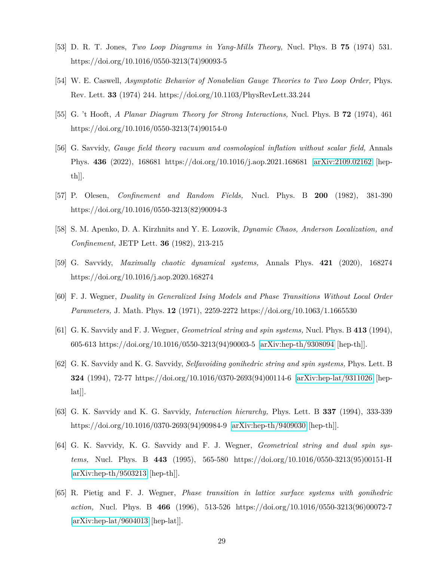- <span id="page-29-11"></span><span id="page-29-10"></span>[53] D. R. T. Jones, *Two Loop Diagrams in Yang-Mills Theory,* Nucl. Phys. B **75** (1974) 531. https://doi.org/10.1016/0550-3213(74)90093-5
- <span id="page-29-9"></span>[54] W. E. Caswell, *Asymptotic Behavior of Nonabelian Gauge Theories to Two Loop Order,* Phys. Rev. Lett. **33** (1974) 244. https://doi.org/10.1103/PhysRevLett.33.244
- <span id="page-29-12"></span>[55] G. 't Hooft, *A Planar Diagram Theory for Strong Interactions,* Nucl. Phys. B **72** (1974), 461 https://doi.org/10.1016/0550-3213(74)90154-0
- [56] G. Savvidy, *Gauge field theory vacuum and cosmological inflation without scalar field,* Annals Phys. **436** (2022), 168681 https://doi.org/10.1016/j.aop.2021.168681 [\[arXiv:2109.02162](http://arxiv.org/abs/2109.02162) [hepth]].
- <span id="page-29-1"></span><span id="page-29-0"></span>[57] P. Olesen, *Confinement and Random Fields,* Nucl. Phys. B **200** (1982), 381-390 https://doi.org/10.1016/0550-3213(82)90094-3
- <span id="page-29-2"></span>[58] S. M. Apenko, D. A. Kirzhnits and Y. E. Lozovik, *Dynamic Chaos, Anderson Localization, and Confinement,* JETP Lett. **36** (1982), 213-215
- <span id="page-29-3"></span>[59] G. Savvidy, *Maximally chaotic dynamical systems,* Annals Phys. **421** (2020), 168274 https://doi.org/10.1016/j.aop.2020.168274
- <span id="page-29-4"></span>[60] F. J. Wegner, *Duality in Generalized Ising Models and Phase Transitions Without Local Order Parameters,* J. Math. Phys. **12** (1971), 2259-2272 https://doi.org/10.1063/1.1665530
- <span id="page-29-5"></span>[61] G. K. Savvidy and F. J. Wegner, *Geometrical string and spin systems,* Nucl. Phys. B **413** (1994), 605-613 https://doi.org/10.1016/0550-3213(94)90003-5 [\[arXiv:hep-th/9308094](http://arxiv.org/abs/hep-th/9308094) [hep-th]].
- [62] G. K. Savvidy and K. G. Savvidy, *Selfavoiding gonihedric string and spin systems,* Phys. Lett. B **324** (1994), 72-77 https://doi.org/10.1016/0370-2693(94)00114-6 [\[arXiv:hep-lat/9311026](http://arxiv.org/abs/hep-lat/9311026) [hep- $|hat||.$
- <span id="page-29-7"></span><span id="page-29-6"></span>[63] G. K. Savvidy and K. G. Savvidy, *Interaction hierarchy,* Phys. Lett. B **337** (1994), 333-339 https://doi.org/10.1016/0370-2693(94)90984-9 [\[arXiv:hep-th/9409030](http://arxiv.org/abs/hep-th/9409030) [hep-th]].
- [64] G. K. Savvidy, K. G. Savvidy and F. J. Wegner, *Geometrical string and dual spin systems,* Nucl. Phys. B **443** (1995), 565-580 https://doi.org/10.1016/0550-3213(95)00151-H [\[arXiv:hep-th/9503213](http://arxiv.org/abs/hep-th/9503213) [hep-th]].
- <span id="page-29-8"></span>[65] R. Pietig and F. J. Wegner, *Phase transition in lattice surface systems with gonihedric action,* Nucl. Phys. B **466** (1996), 513-526 https://doi.org/10.1016/0550-3213(96)00072-7 [\[arXiv:hep-lat/9604013](http://arxiv.org/abs/hep-lat/9604013) [hep-lat]].